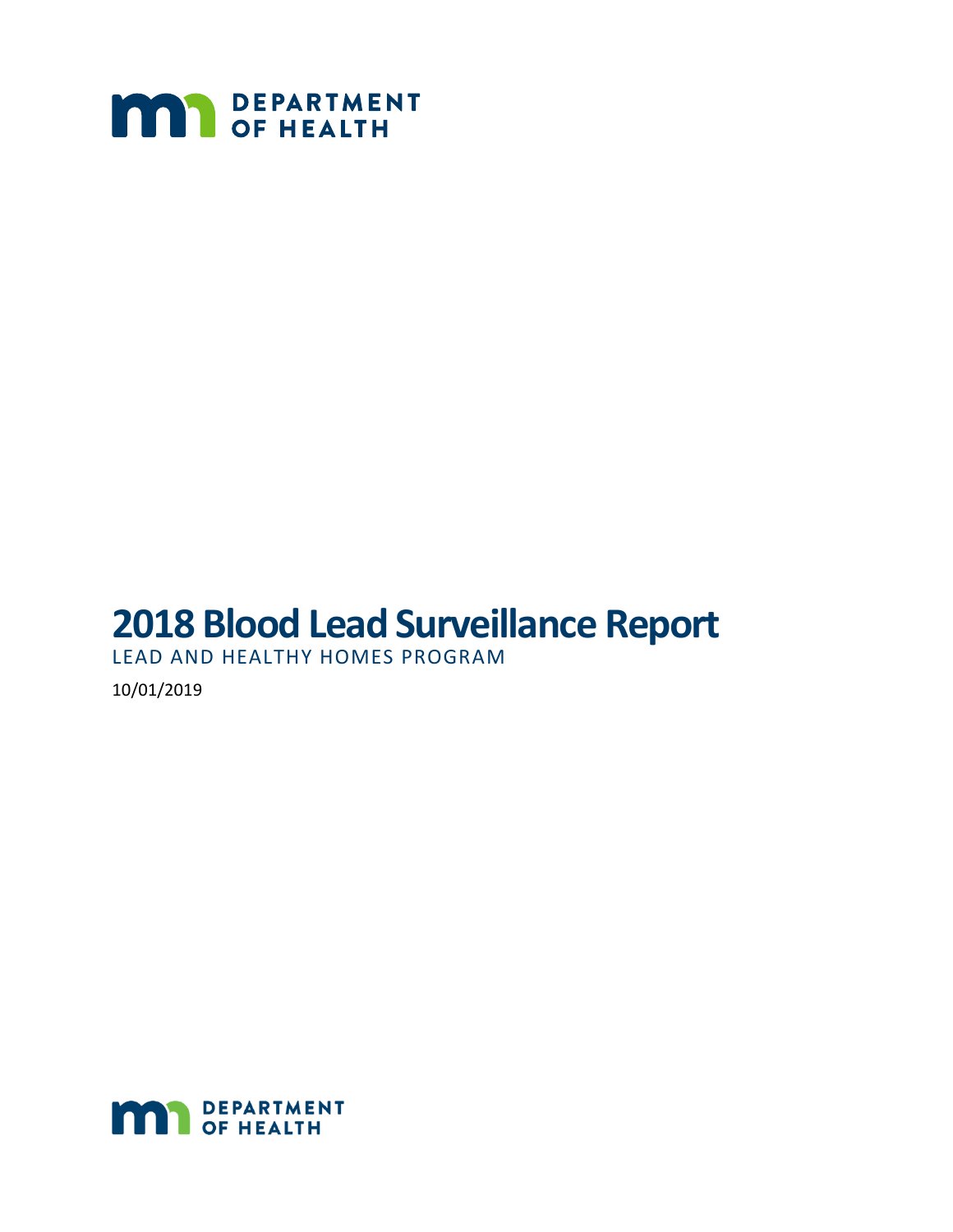

# **2018 Blood Lead Surveillance Report**

LEAD AND HEALTHY HOMES PROGRAM

10/01/2019

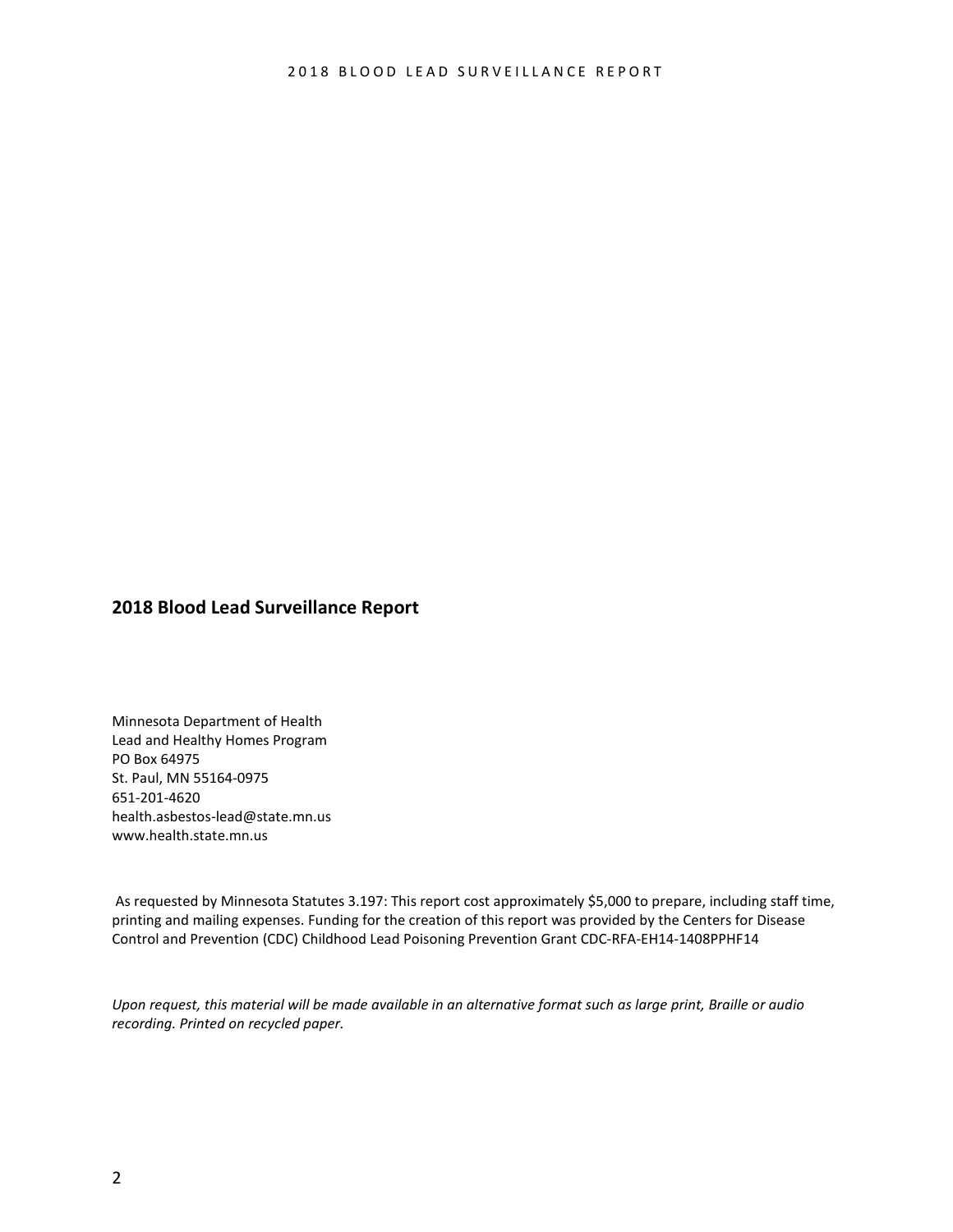#### **2018 Blood Lead Surveillance Report**

Minnesota Department of Health Lead and Healthy Homes Program PO Box 64975 St. Paul, MN 55164-0975 651-201-4620 [health.asbestos-lead@state.mn.us](mailto:health.asbestos-lead@state.mn.us) [www.health.state.mn.us](http://www.health.state.mn.us/)

As requested by Minnesota Statutes 3.197: This report cost approximately \$5,000 to prepare, including staff time, printing and mailing expenses. Funding for the creation of this report was provided by the Centers for Disease Control and Prevention (CDC) Childhood Lead Poisoning Prevention Grant CDC-RFA-EH14-1408PPHF14

*Upon request, this material will be made available in an alternative format such as large print, Braille or audio recording. Printed on recycled paper.*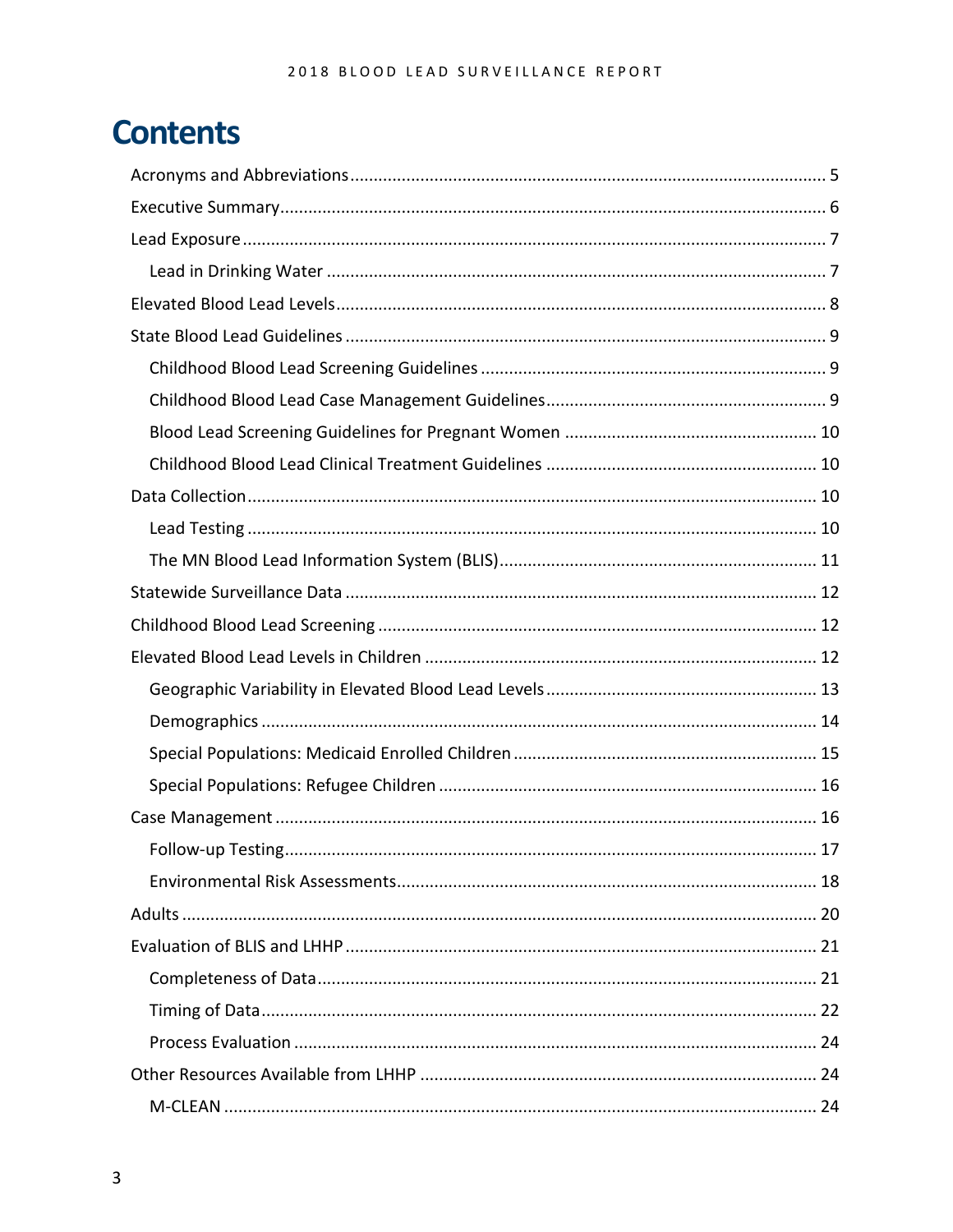# **Contents**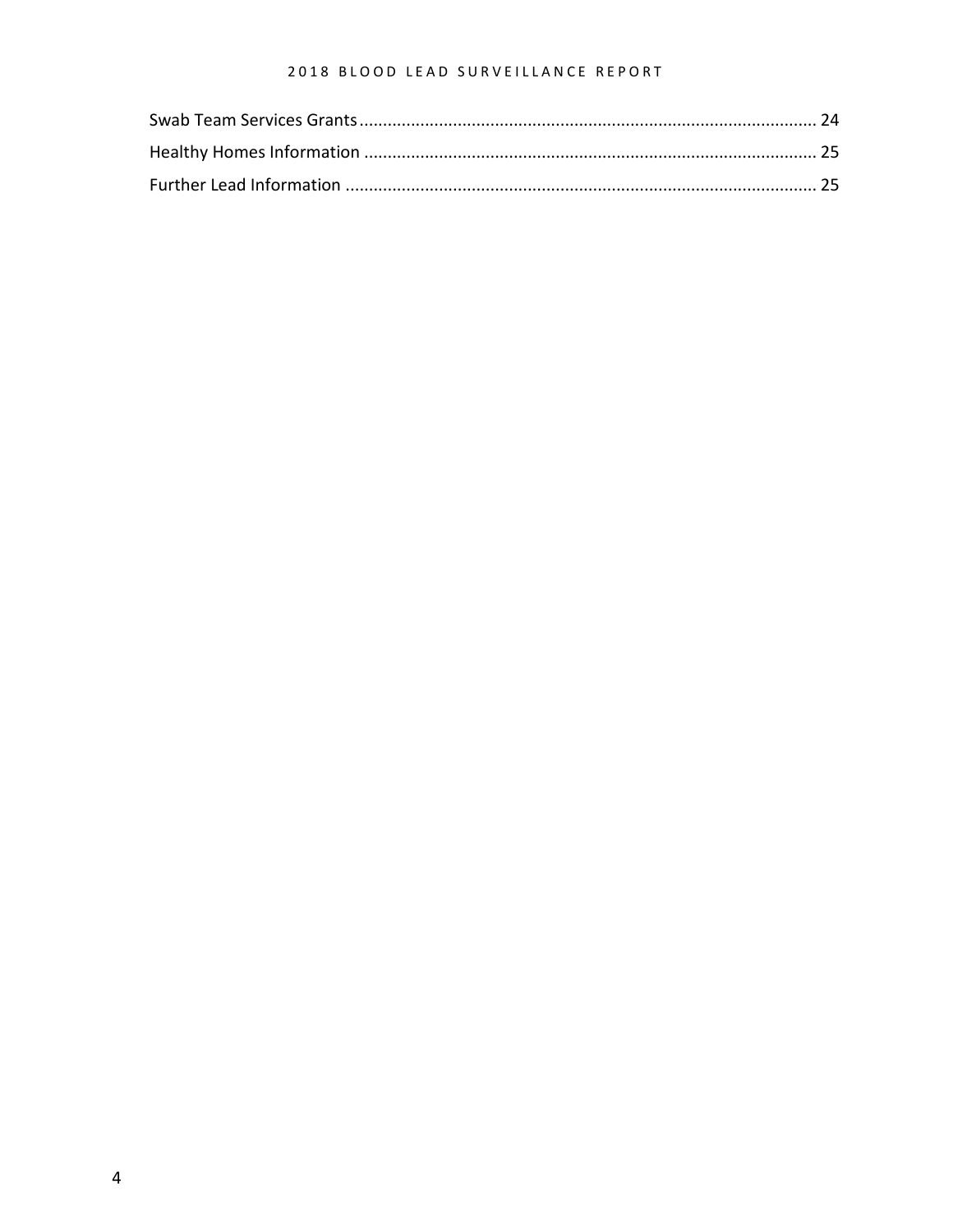#### 2018 BLOOD LEAD SURVEILLANCE REPORT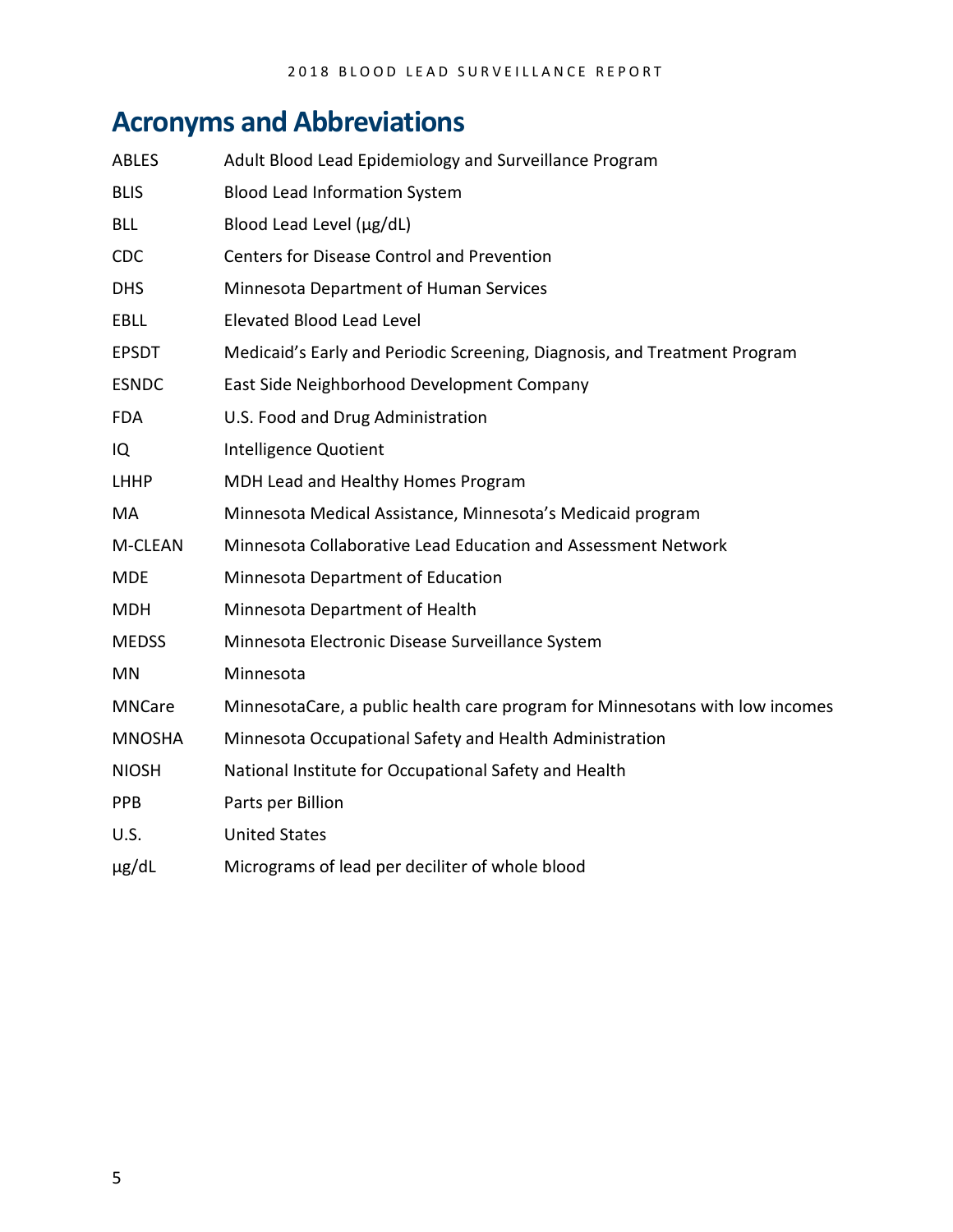# <span id="page-4-0"></span>**Acronyms and Abbreviations**

| <b>ABLES</b>  | Adult Blood Lead Epidemiology and Surveillance Program                       |
|---------------|------------------------------------------------------------------------------|
| <b>BLIS</b>   | <b>Blood Lead Information System</b>                                         |
| <b>BLL</b>    | Blood Lead Level (µg/dL)                                                     |
| CDC           | <b>Centers for Disease Control and Prevention</b>                            |
| <b>DHS</b>    | Minnesota Department of Human Services                                       |
| <b>EBLL</b>   | Elevated Blood Lead Level                                                    |
| <b>EPSDT</b>  | Medicaid's Early and Periodic Screening, Diagnosis, and Treatment Program    |
| <b>ESNDC</b>  | East Side Neighborhood Development Company                                   |
| <b>FDA</b>    | U.S. Food and Drug Administration                                            |
| IQ            | Intelligence Quotient                                                        |
| <b>LHHP</b>   | MDH Lead and Healthy Homes Program                                           |
| MA            | Minnesota Medical Assistance, Minnesota's Medicaid program                   |
| M-CLEAN       | Minnesota Collaborative Lead Education and Assessment Network                |
| <b>MDE</b>    | Minnesota Department of Education                                            |
| MDH           | Minnesota Department of Health                                               |
| <b>MEDSS</b>  | Minnesota Electronic Disease Surveillance System                             |
| ΜN            | Minnesota                                                                    |
| <b>MNCare</b> | MinnesotaCare, a public health care program for Minnesotans with low incomes |
| <b>MNOSHA</b> | Minnesota Occupational Safety and Health Administration                      |
| <b>NIOSH</b>  | National Institute for Occupational Safety and Health                        |
| <b>PPB</b>    | Parts per Billion                                                            |
| U.S.          | <b>United States</b>                                                         |
| µg/dL         | Micrograms of lead per deciliter of whole blood                              |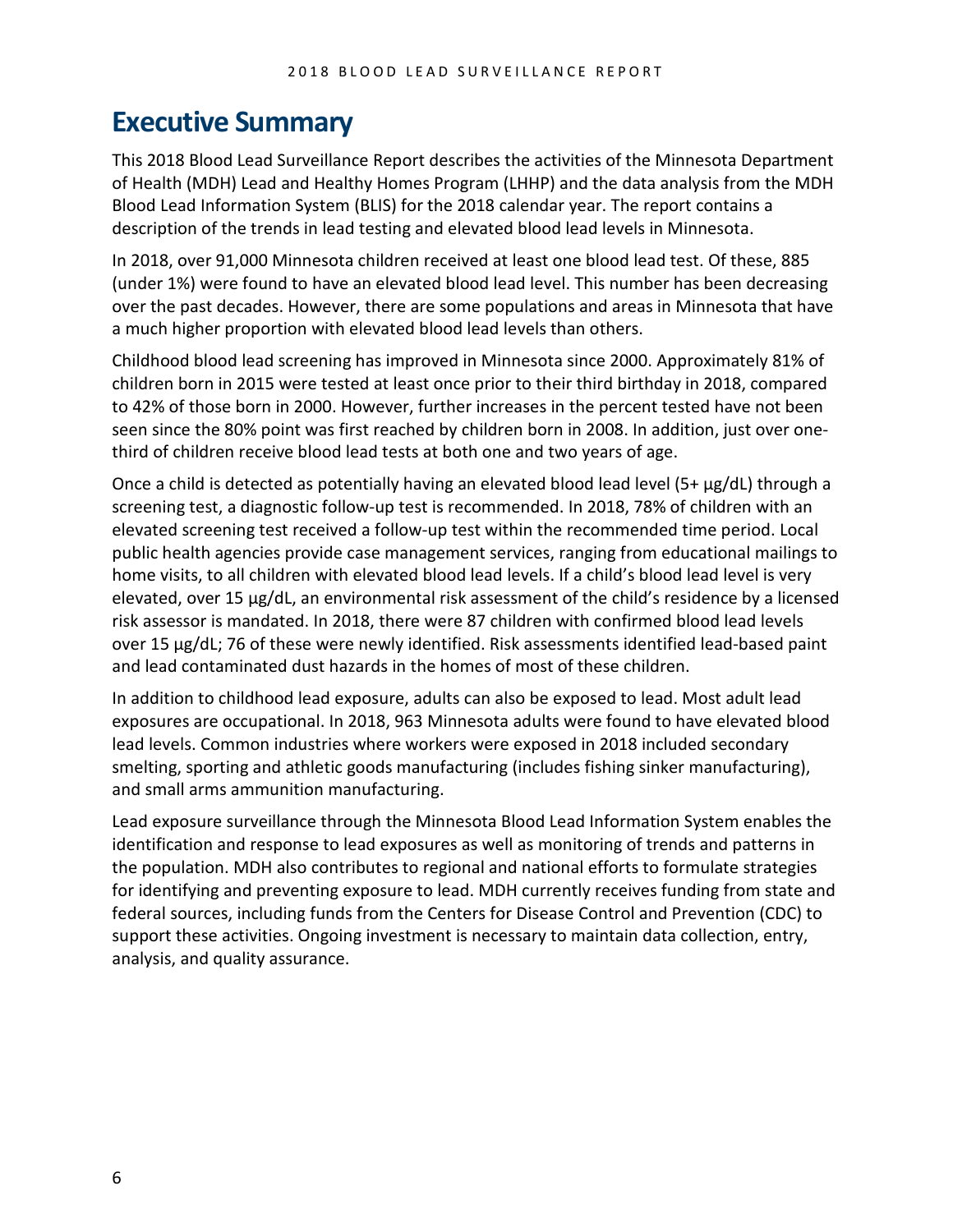### <span id="page-5-0"></span>**Executive Summary**

This 2018 Blood Lead Surveillance Report describes the activities of the Minnesota Department of Health (MDH) Lead and Healthy Homes Program (LHHP) and the data analysis from the MDH Blood Lead Information System (BLIS) for the 2018 calendar year. The report contains a description of the trends in lead testing and elevated blood lead levels in Minnesota.

In 2018, over 91,000 Minnesota children received at least one blood lead test. Of these, 885 (under 1%) were found to have an elevated blood lead level. This number has been decreasing over the past decades. However, there are some populations and areas in Minnesota that have a much higher proportion with elevated blood lead levels than others.

Childhood blood lead screening has improved in Minnesota since 2000. Approximately 81% of children born in 2015 were tested at least once prior to their third birthday in 2018, compared to 42% of those born in 2000. However, further increases in the percent tested have not been seen since the 80% point was first reached by children born in 2008. In addition, just over onethird of children receive blood lead tests at both one and two years of age.

Once a child is detected as potentially having an elevated blood lead level (5+ µg/dL) through a screening test, a diagnostic follow-up test is recommended. In 2018, 78% of children with an elevated screening test received a follow-up test within the recommended time period. Local public health agencies provide case management services, ranging from educational mailings to home visits, to all children with elevated blood lead levels. If a child's blood lead level is very elevated, over 15 µg/dL, an environmental risk assessment of the child's residence by a licensed risk assessor is mandated. In 2018, there were 87 children with confirmed blood lead levels over 15 µg/dL; 76 of these were newly identified. Risk assessments identified lead-based paint and lead contaminated dust hazards in the homes of most of these children.

In addition to childhood lead exposure, adults can also be exposed to lead. Most adult lead exposures are occupational. In 2018, 963 Minnesota adults were found to have elevated blood lead levels. Common industries where workers were exposed in 2018 included secondary smelting, sporting and athletic goods manufacturing (includes fishing sinker manufacturing), and small arms ammunition manufacturing.

Lead exposure surveillance through the Minnesota Blood Lead Information System enables the identification and response to lead exposures as well as monitoring of trends and patterns in the population. MDH also contributes to regional and national efforts to formulate strategies for identifying and preventing exposure to lead. MDH currently receives funding from state and federal sources, including funds from the Centers for Disease Control and Prevention (CDC) to support these activities. Ongoing investment is necessary to maintain data collection, entry, analysis, and quality assurance.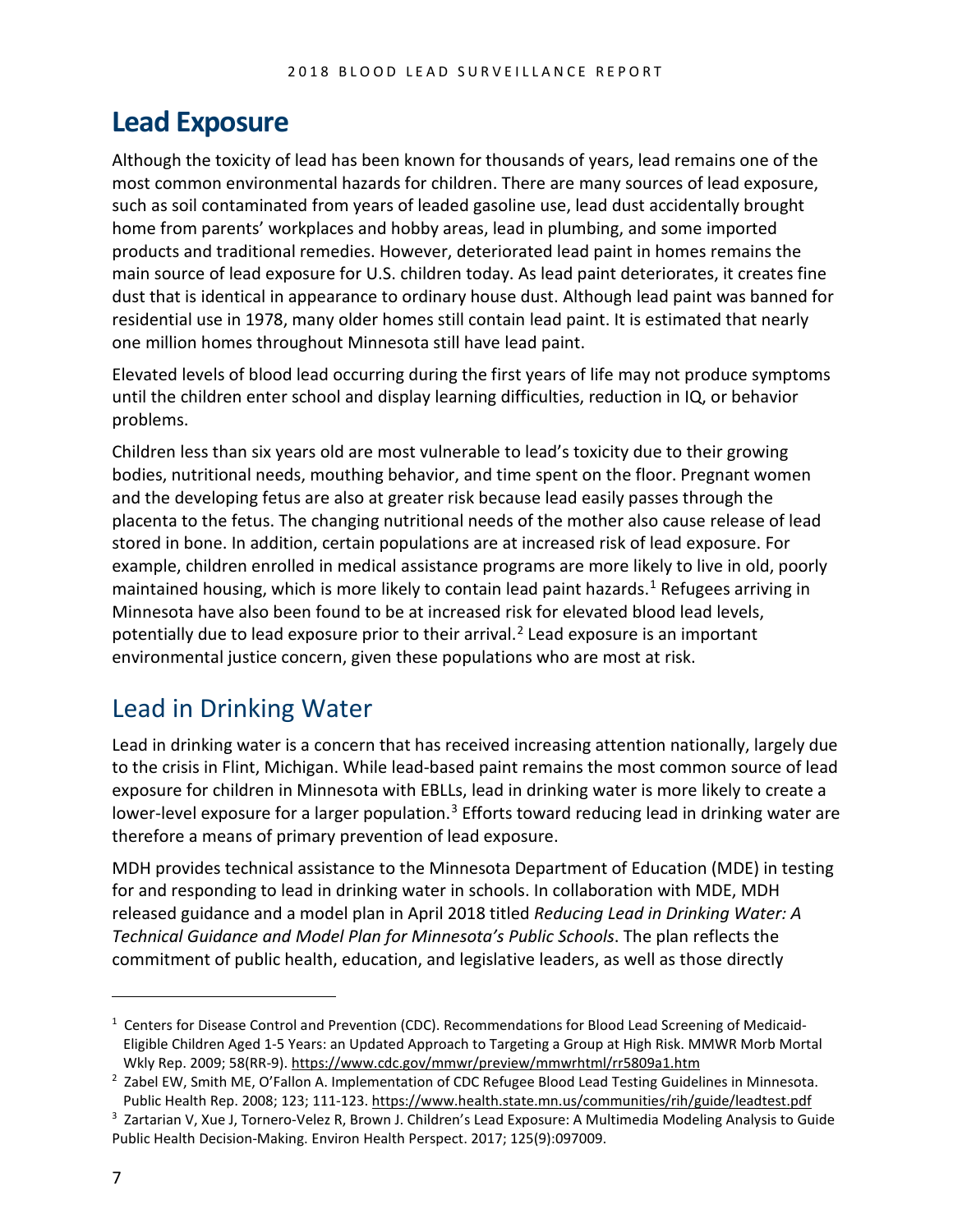# <span id="page-6-0"></span>**Lead Exposure**

Although the toxicity of lead has been known for thousands of years, lead remains one of the most common environmental hazards for children. There are many sources of lead exposure, such as soil contaminated from years of leaded gasoline use, lead dust accidentally brought home from parents' workplaces and hobby areas, lead in plumbing, and some imported products and traditional remedies. However, deteriorated lead paint in homes remains the main source of lead exposure for U.S. children today. As lead paint deteriorates, it creates fine dust that is identical in appearance to ordinary house dust. Although lead paint was banned for residential use in 1978, many older homes still contain lead paint. It is estimated that nearly one million homes throughout Minnesota still have lead paint.

Elevated levels of blood lead occurring during the first years of life may not produce symptoms until the children enter school and display learning difficulties, reduction in IQ, or behavior problems.

Children less than six years old are most vulnerable to lead's toxicity due to their growing bodies, nutritional needs, mouthing behavior, and time spent on the floor. Pregnant women and the developing fetus are also at greater risk because lead easily passes through the placenta to the fetus. The changing nutritional needs of the mother also cause release of lead stored in bone. In addition, certain populations are at increased risk of lead exposure. For example, children enrolled in medical assistance programs are more likely to live in old, poorly maintained housing, which is more likely to contain lead paint hazards.<sup>[1](#page-6-2)</sup> Refugees arriving in Minnesota have also been found to be at increased risk for elevated blood lead levels, potentially due to lead exposure prior to their arrival.<sup>[2](#page-6-3)</sup> Lead exposure is an important environmental justice concern, given these populations who are most at risk.

### <span id="page-6-1"></span>Lead in Drinking Water

Lead in drinking water is a concern that has received increasing attention nationally, largely due to the crisis in Flint, Michigan. While lead-based paint remains the most common source of lead exposure for children in Minnesota with EBLLs, lead in drinking water is more likely to create a lower-level exposure for a larger population.<sup>[3](#page-6-4)</sup> Efforts toward reducing lead in drinking water are therefore a means of primary prevention of lead exposure.

MDH provides technical assistance to the Minnesota Department of Education (MDE) in testing for and responding to lead in drinking water in schools. In collaboration with MDE, MDH released guidance and a model plan in April 2018 titled *Reducing Lead in Drinking Water: A Technical Guidance and Model Plan for Minnesota's Public Schools*. The plan reflects the commitment of public health, education, and legislative leaders, as well as those directly

 $\overline{a}$ 

<span id="page-6-2"></span><sup>&</sup>lt;sup>1</sup> Centers for Disease Control and Prevention (CDC). Recommendations for Blood Lead Screening of Medicaid-Eligible Children Aged 1-5 Years: an Updated Approach to Targeting a Group at High Risk. MMWR Morb Mortal Wkly Rep. 2009; 58(RR-9)[. https://www.cdc.gov/mmwr/preview/mmwrhtml/rr5809a1.htm](https://www.cdc.gov/mmwr/preview/mmwrhtml/rr5809a1.htm)

<span id="page-6-3"></span><sup>&</sup>lt;sup>2</sup> Zabel EW, Smith ME, O'Fallon A. Implementation of CDC Refugee Blood Lead Testing Guidelines in Minnesota. Public Health Rep. 2008; 123; 111-123.<https://www.health.state.mn.us/communities/rih/guide/leadtest.pdf>

<span id="page-6-4"></span><sup>&</sup>lt;sup>3</sup> Zartarian V, Xue J, Tornero-Velez R, Brown J. Children's Lead Exposure: A Multimedia Modeling Analysis to Guide Public Health Decision-Making. Environ Health Perspect. 2017; 125(9):097009.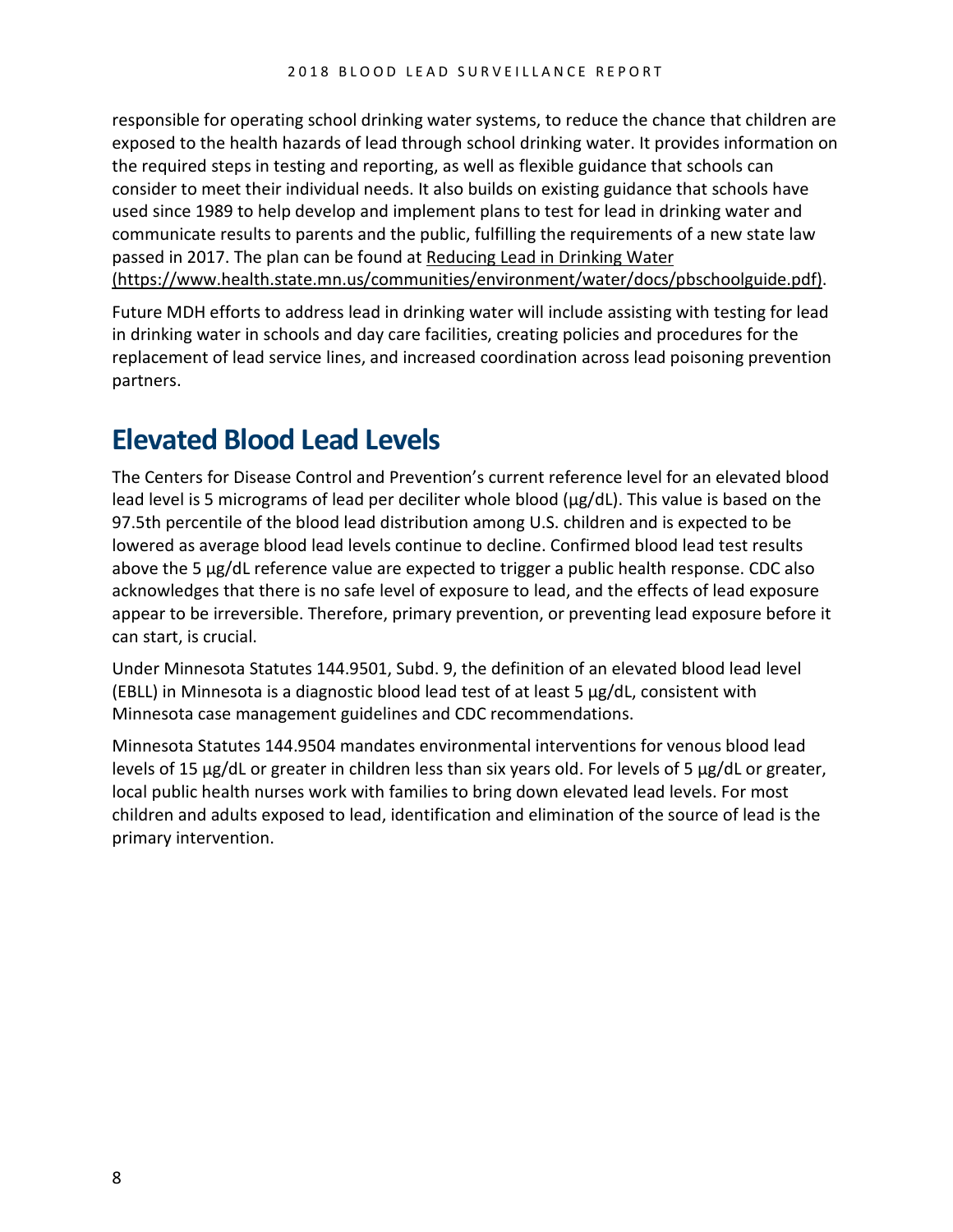responsible for operating school drinking water systems, to reduce the chance that children are exposed to the health hazards of lead through school drinking water. It provides information on the required steps in testing and reporting, as well as flexible guidance that schools can consider to meet their individual needs. It also builds on existing guidance that schools have used since 1989 to help develop and implement plans to test for lead in drinking water and communicate results to parents and the public, fulfilling the requirements of a new state law passed in 2017. The plan can be found at [Reducing Lead in Drinking Water](https://www.health.state.mn.us/communities/environment/water/docs/pbschoolguide.pdf)  [\(https://www.health.state.mn.us/communities/environment/water/docs/pbschoolguide.pdf\).](https://www.health.state.mn.us/communities/environment/water/docs/pbschoolguide.pdf)

Future MDH efforts to address lead in drinking water will include assisting with testing for lead in drinking water in schools and day care facilities, creating policies and procedures for the replacement of lead service lines, and increased coordination across lead poisoning prevention partners.

# <span id="page-7-0"></span>**Elevated Blood Lead Levels**

The Centers for Disease Control and Prevention's current reference level for an elevated blood lead level is 5 micrograms of lead per deciliter whole blood (μg/dL). This value is based on the 97.5th percentile of the blood lead distribution among U.S. children and is expected to be lowered as average blood lead levels continue to decline. Confirmed blood lead test results above the 5 µg/dL reference value are expected to trigger a public health response. CDC also acknowledges that there is no safe level of exposure to lead, and the effects of lead exposure appear to be irreversible. Therefore, primary prevention, or preventing lead exposure before it can start, is crucial.

Under Minnesota Statutes 144.9501, Subd. 9, the definition of an elevated blood lead level (EBLL) in Minnesota is a diagnostic blood lead test of at least 5 μg/dL, consistent with Minnesota case management guidelines and CDC recommendations.

Minnesota Statutes 144.9504 mandates environmental interventions for venous blood lead levels of 15 μg/dL or greater in children less than six years old. For levels of 5 μg/dL or greater, local public health nurses work with families to bring down elevated lead levels. For most children and adults exposed to lead, identification and elimination of the source of lead is the primary intervention.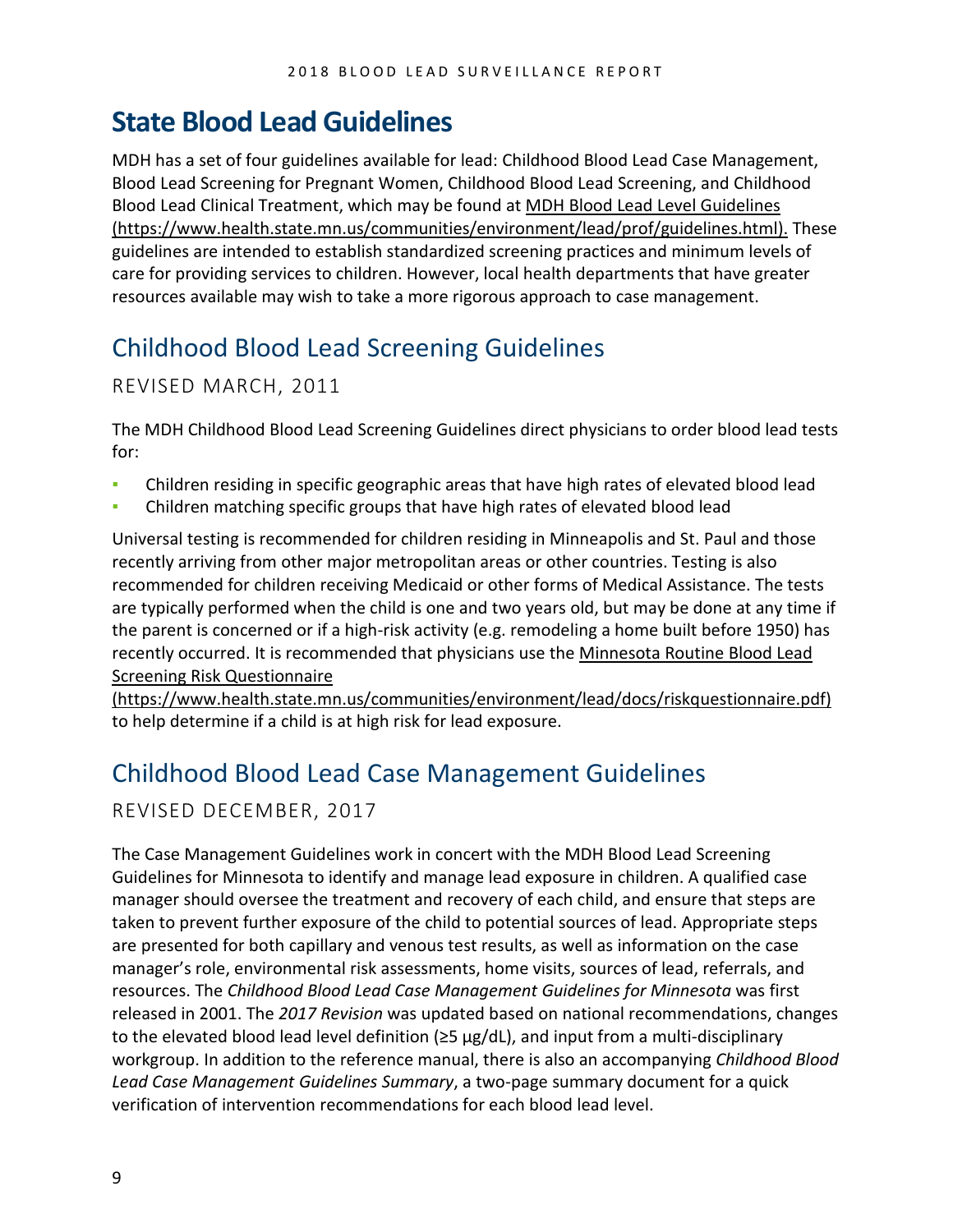# <span id="page-8-0"></span>**State Blood Lead Guidelines**

MDH has a set of four guidelines available for lead: Childhood Blood Lead Case Management, Blood Lead Screening for Pregnant Women, Childhood Blood Lead Screening, and Childhood Blood Lead Clinical Treatment, which may be found at [MDH Blood Lead Level Guidelines](https://www.health.state.mn.us/communities/environment/lead/prof/guidelines.html)  [\(https://www.health.state.mn.us/communities/environment/lead/prof/guidelines.html\).](https://www.health.state.mn.us/communities/environment/lead/prof/guidelines.html) These guidelines are intended to establish standardized screening practices and minimum levels of care for providing services to children. However, local health departments that have greater resources available may wish to take a more rigorous approach to case management.

# <span id="page-8-1"></span>Childhood Blood Lead Screening Guidelines

#### REVISED MARCH, 2011

The MDH Childhood Blood Lead Screening Guidelines direct physicians to order blood lead tests for:

- Children residing in specific geographic areas that have high rates of elevated blood lead
- Children matching specific groups that have high rates of elevated blood lead

Universal testing is recommended for children residing in Minneapolis and St. Paul and those recently arriving from other major metropolitan areas or other countries. Testing is also recommended for children receiving Medicaid or other forms of Medical Assistance. The tests are typically performed when the child is one and two years old, but may be done at any time if the parent is concerned or if a high-risk activity (e.g. remodeling a home built before 1950) has recently occurred. It is recommended that physicians use the [Minnesota Routine Blood Lead](https://www.health.state.mn.us/communities/environment/lead/docs/riskquestionnaire.pdf)  [Screening Risk Questionnaire](https://www.health.state.mn.us/communities/environment/lead/docs/riskquestionnaire.pdf) 

[\(https://www.health.state.mn.us/communities/environment/lead/docs/riskquestionnaire.pdf\)](https://www.health.state.mn.us/communities/environment/lead/docs/riskquestionnaire.pdf) to help determine if a child is at high risk for lead exposure.

### <span id="page-8-2"></span>Childhood Blood Lead Case Management Guidelines

#### REVISED DECEMBER, 2017

The Case Management Guidelines work in concert with the MDH Blood Lead Screening Guidelines for Minnesota to identify and manage lead exposure in children. A qualified case manager should oversee the treatment and recovery of each child, and ensure that steps are taken to prevent further exposure of the child to potential sources of lead. Appropriate steps are presented for both capillary and venous test results, as well as information on the case manager's role, environmental risk assessments, home visits, sources of lead, referrals, and resources. The *Childhood Blood Lead Case Management Guidelines for Minnesota* was first released in 2001. The *2017 Revision* was updated based on national recommendations, changes to the elevated blood lead level definition ( $\geq$ 5 µg/dL), and input from a multi-disciplinary workgroup. In addition to the reference manual, there is also an accompanying *Childhood Blood Lead Case Management Guidelines Summary*, a two-page summary document for a quick verification of intervention recommendations for each blood lead level.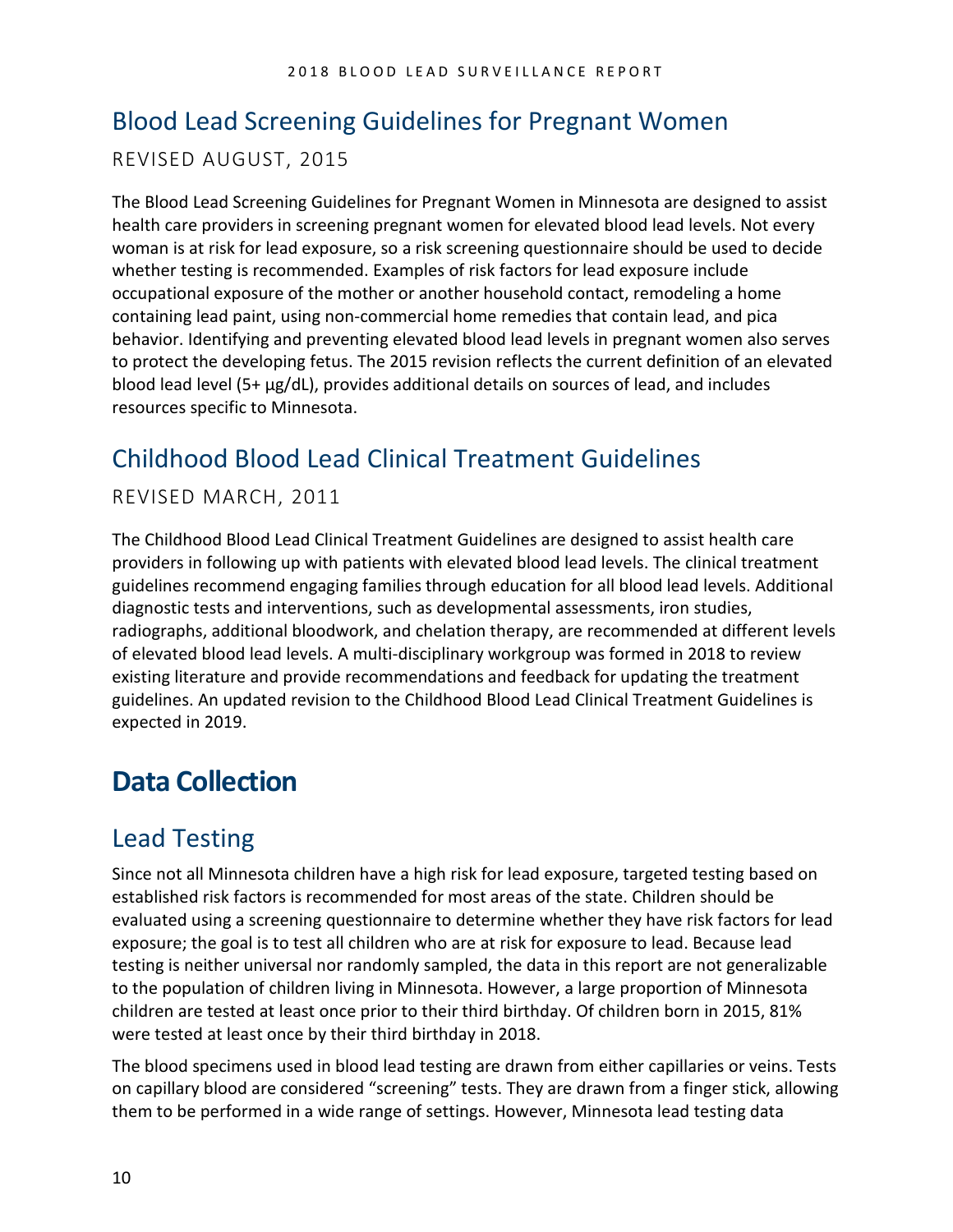### <span id="page-9-0"></span>Blood Lead Screening Guidelines for Pregnant Women

#### REVISED AUGUST, 2015

The Blood Lead Screening Guidelines for Pregnant Women in Minnesota are designed to assist health care providers in screening pregnant women for elevated blood lead levels. Not every woman is at risk for lead exposure, so a risk screening questionnaire should be used to decide whether testing is recommended. Examples of risk factors for lead exposure include occupational exposure of the mother or another household contact, remodeling a home containing lead paint, using non-commercial home remedies that contain lead, and pica behavior. Identifying and preventing elevated blood lead levels in pregnant women also serves to protect the developing fetus. The 2015 revision reflects the current definition of an elevated blood lead level (5+ μg/dL), provides additional details on sources of lead, and includes resources specific to Minnesota.

### <span id="page-9-1"></span>Childhood Blood Lead Clinical Treatment Guidelines

#### REVISED MARCH, 2011

The Childhood Blood Lead Clinical Treatment Guidelines are designed to assist health care providers in following up with patients with elevated blood lead levels. The clinical treatment guidelines recommend engaging families through education for all blood lead levels. Additional diagnostic tests and interventions, such as developmental assessments, iron studies, radiographs, additional bloodwork, and chelation therapy, are recommended at different levels of elevated blood lead levels. A multi-disciplinary workgroup was formed in 2018 to review existing literature and provide recommendations and feedback for updating the treatment guidelines. An updated revision to the Childhood Blood Lead Clinical Treatment Guidelines is expected in 2019.

# <span id="page-9-2"></span>**Data Collection**

### <span id="page-9-3"></span>Lead Testing

Since not all Minnesota children have a high risk for lead exposure, targeted testing based on established risk factors is recommended for most areas of the state. Children should be evaluated using a screening questionnaire to determine whether they have risk factors for lead exposure; the goal is to test all children who are at risk for exposure to lead. Because lead testing is neither universal nor randomly sampled, the data in this report are not generalizable to the population of children living in Minnesota. However, a large proportion of Minnesota children are tested at least once prior to their third birthday. Of children born in 2015, 81% were tested at least once by their third birthday in 2018.

The blood specimens used in blood lead testing are drawn from either capillaries or veins. Tests on capillary blood are considered "screening" tests. They are drawn from a finger stick, allowing them to be performed in a wide range of settings. However, Minnesota lead testing data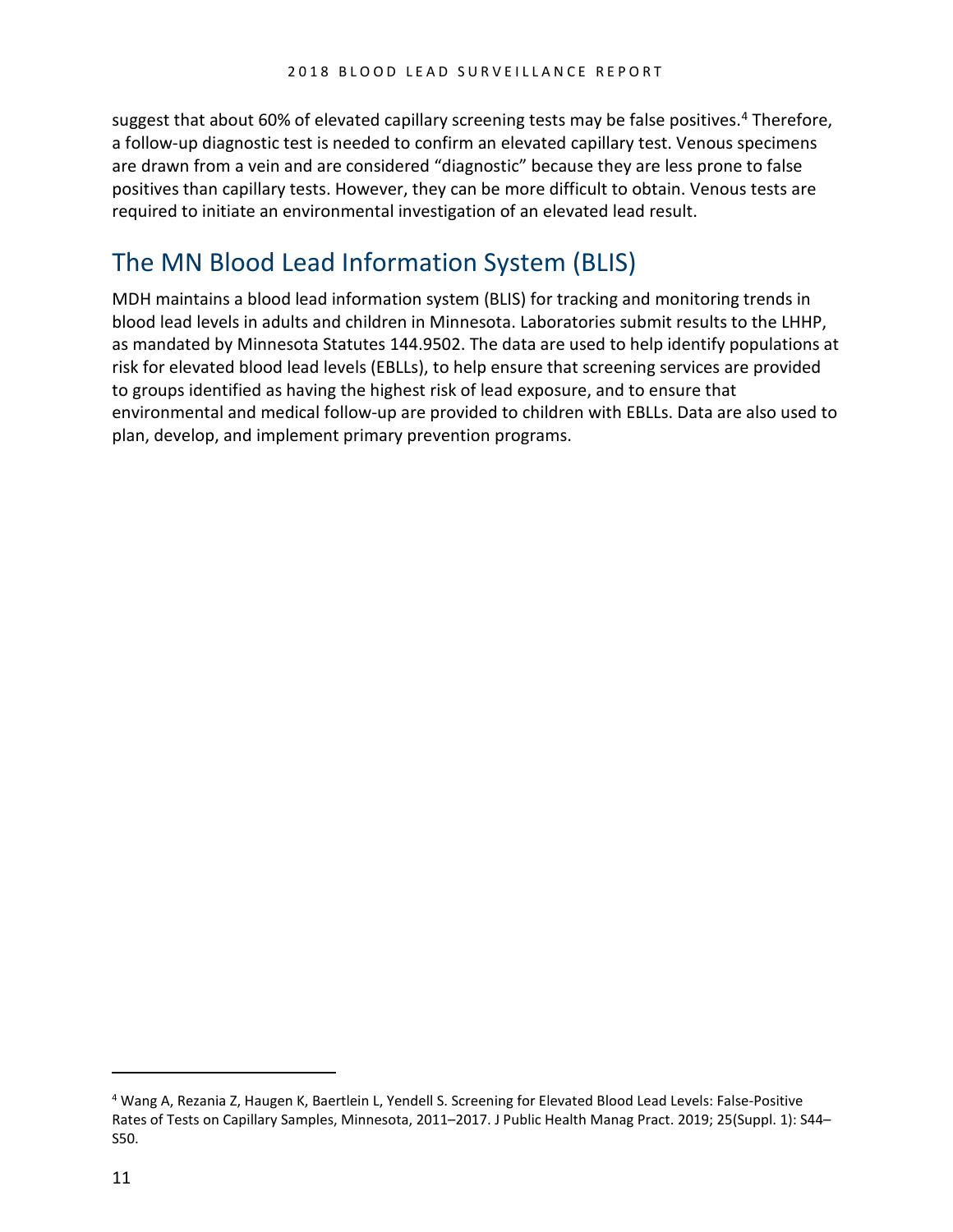suggest that about 60% of elevated capillary screening tests may be false positives.<sup>[4](#page-10-1)</sup> Therefore, a follow-up diagnostic test is needed to confirm an elevated capillary test. Venous specimens are drawn from a vein and are considered "diagnostic" because they are less prone to false positives than capillary tests. However, they can be more difficult to obtain. Venous tests are required to initiate an environmental investigation of an elevated lead result.

# <span id="page-10-0"></span>The MN Blood Lead Information System (BLIS)

MDH maintains a blood lead information system (BLIS) for tracking and monitoring trends in blood lead levels in adults and children in Minnesota. Laboratories submit results to the LHHP, as mandated by Minnesota Statutes 144.9502. The data are used to help identify populations at risk for elevated blood lead levels (EBLLs), to help ensure that screening services are provided to groups identified as having the highest risk of lead exposure, and to ensure that environmental and medical follow-up are provided to children with EBLLs. Data are also used to plan, develop, and implement primary prevention programs.

 $\overline{a}$ 

<span id="page-10-1"></span><sup>4</sup> Wang A, Rezania Z, Haugen K, Baertlein L, Yendell S. Screening for Elevated Blood Lead Levels: False-Positive Rates of Tests on Capillary Samples, Minnesota, 2011–2017. J Public Health Manag Pract. 2019; 25(Suppl. 1): S44– S50.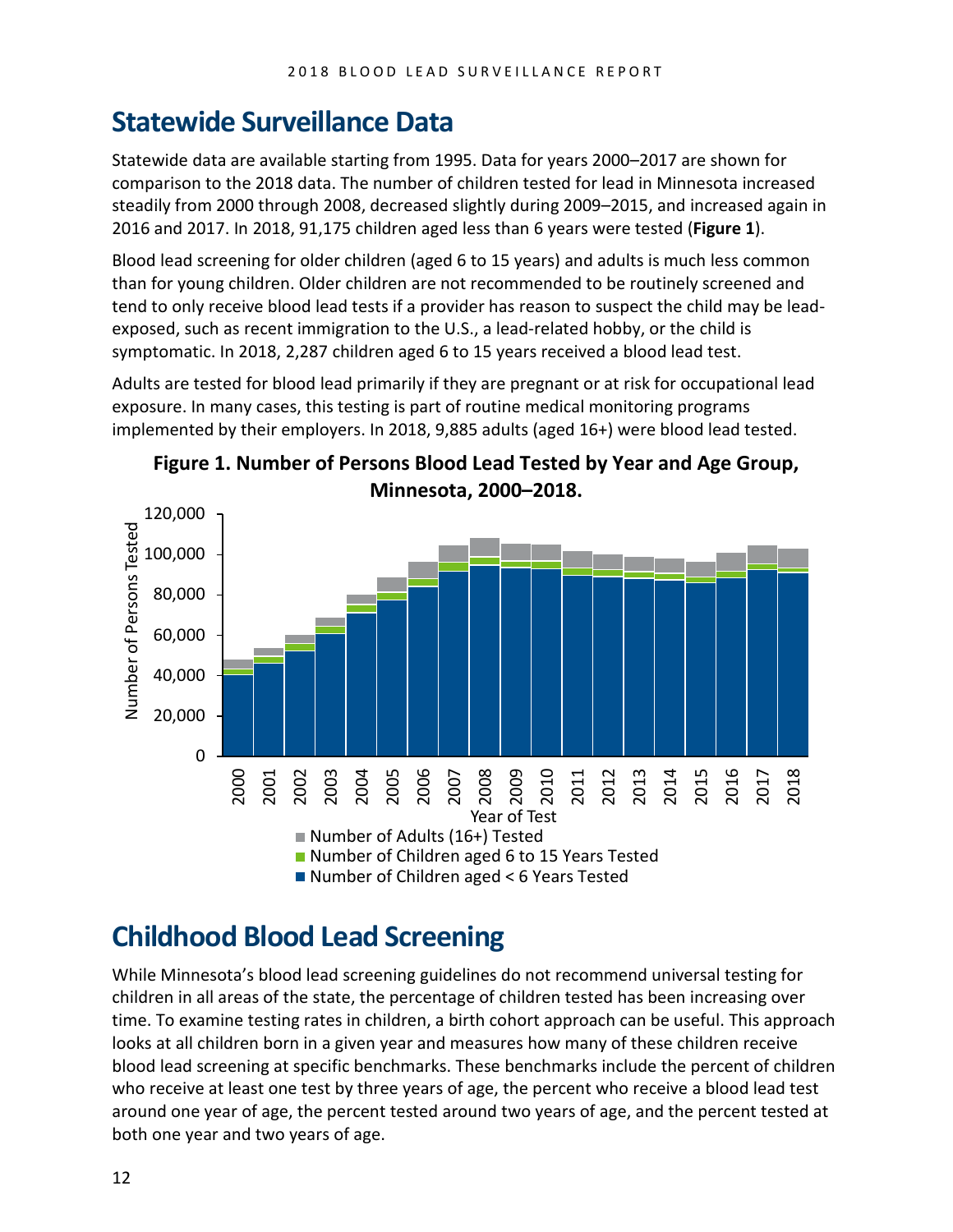# <span id="page-11-0"></span>**Statewide Surveillance Data**

Statewide data are available starting from 1995. Data for years 2000–2017 are shown for comparison to the 2018 data. The number of children tested for lead in Minnesota increased steadily from 2000 through 2008, decreased slightly during 2009–2015, and increased again in 2016 and 2017. In 2018, 91,175 children aged less than 6 years were tested (**Figure 1**).

Blood lead screening for older children (aged 6 to 15 years) and adults is much less common than for young children. Older children are not recommended to be routinely screened and tend to only receive blood lead tests if a provider has reason to suspect the child may be leadexposed, such as recent immigration to the U.S., a lead-related hobby, or the child is symptomatic. In 2018, 2,287 children aged 6 to 15 years received a blood lead test.

Adults are tested for blood lead primarily if they are pregnant or at risk for occupational lead exposure. In many cases, this testing is part of routine medical monitoring programs implemented by their employers. In 2018, 9,885 adults (aged 16+) were blood lead tested.





# <span id="page-11-1"></span>**Childhood Blood Lead Screening**

While Minnesota's blood lead screening guidelines do not recommend universal testing for children in all areas of the state, the percentage of children tested has been increasing over time. To examine testing rates in children, a birth cohort approach can be useful. This approach looks at all children born in a given year and measures how many of these children receive blood lead screening at specific benchmarks. These benchmarks include the percent of children who receive at least one test by three years of age, the percent who receive a blood lead test around one year of age, the percent tested around two years of age, and the percent tested at both one year and two years of age.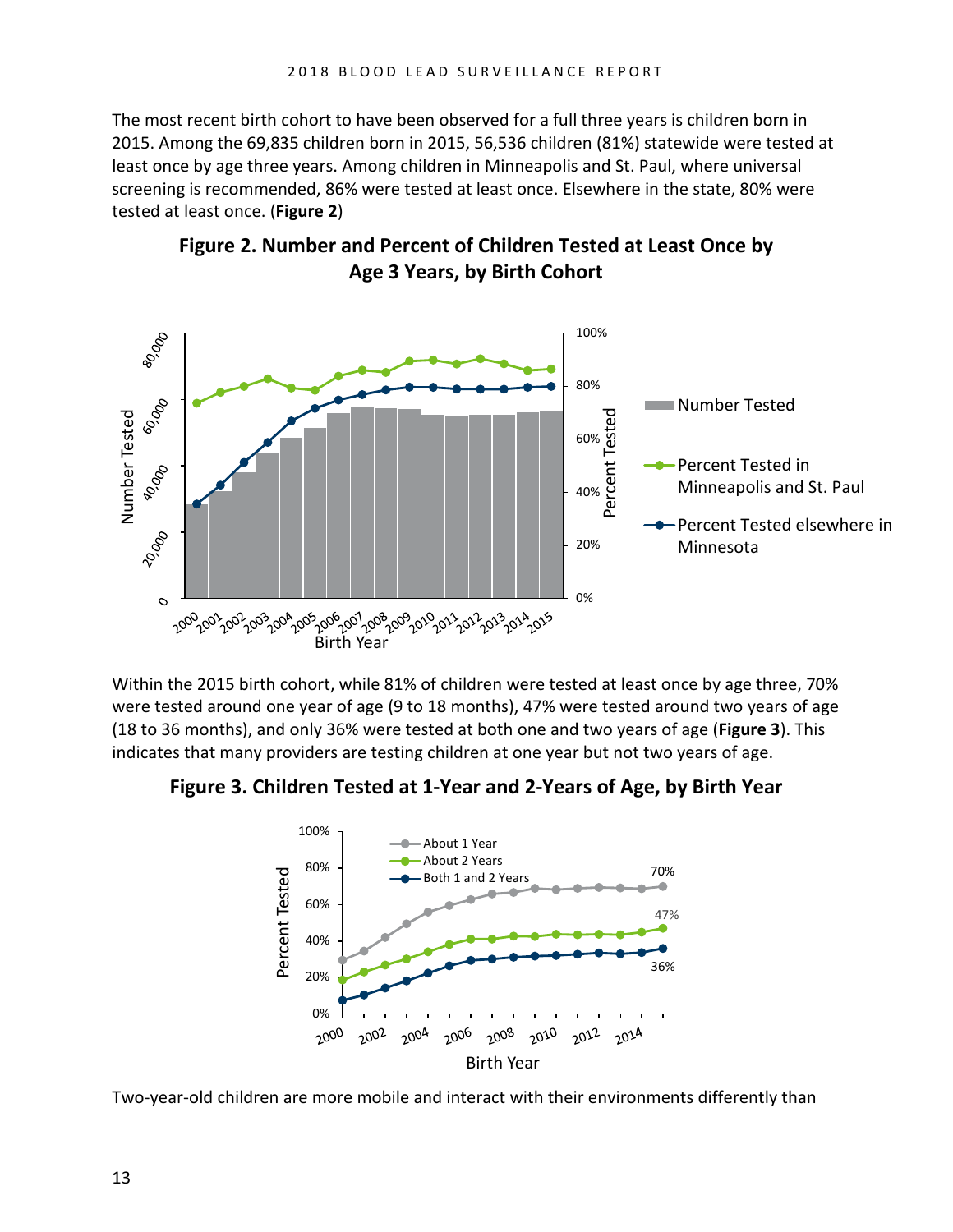The most recent birth cohort to have been observed for a full three years is children born in 2015. Among the 69,835 children born in 2015, 56,536 children (81%) statewide were tested at least once by age three years. Among children in Minneapolis and St. Paul, where universal screening is recommended, 86% were tested at least once. Elsewhere in the state, 80% were tested at least once. (**Figure 2**)



**Figure 2. Number and Percent of Children Tested at Least Once by Age 3 Years, by Birth Cohort**

Within the 2015 birth cohort, while 81% of children were tested at least once by age three, 70% were tested around one year of age (9 to 18 months), 47% were tested around two years of age (18 to 36 months), and only 36% were tested at both one and two years of age (**Figure 3**). This indicates that many providers are testing children at one year but not two years of age.

**Figure 3. Children Tested at 1-Year and 2-Years of Age, by Birth Year**



Two-year-old children are more mobile and interact with their environments differently than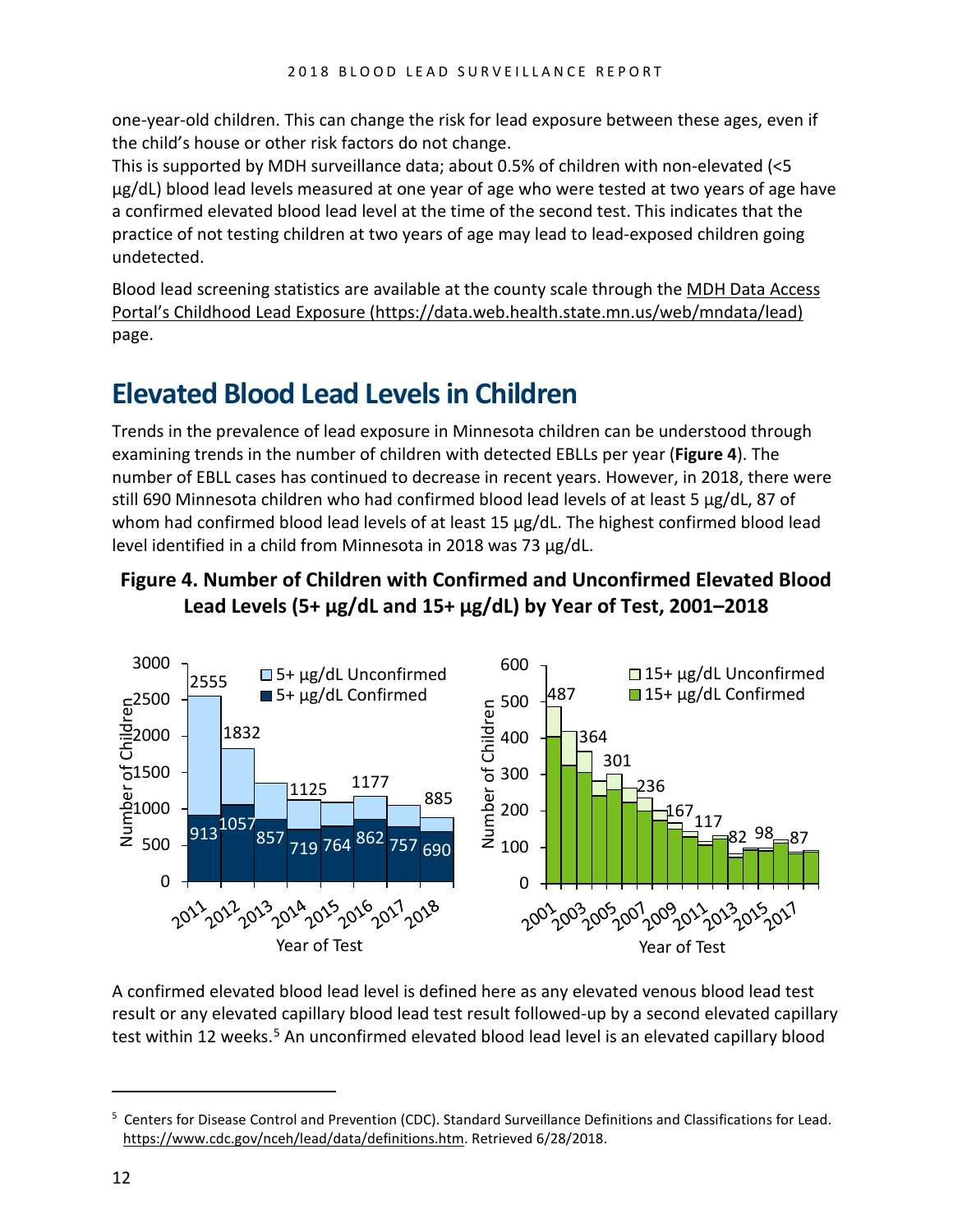one-year-old children. This can change the risk for lead exposure between these ages, even if the child's house or other risk factors do not change.

This is supported by MDH surveillance data; about 0.5% of children with non-elevated (<5 µg/dL) blood lead levels measured at one year of age who were tested at two years of age have a confirmed elevated blood lead level at the time of the second test. This indicates that the practice of not testing children at two years of age may lead to lead-exposed children going undetected.

Blood lead screening statistics are available at the county scale through the [MDH Data Access](https://data.web.health.state.mn.us/web/mndata/lead)  [Portal's Childhood Lead Exposure \(https://data.web.health.state.mn.us/web/mndata/lead\)](https://data.web.health.state.mn.us/web/mndata/lead) page.

# <span id="page-13-0"></span>**Elevated Blood Lead Levels in Children**

Trends in the prevalence of lead exposure in Minnesota children can be understood through examining trends in the number of children with detected EBLLs per year (**Figure 4**). The number of EBLL cases has continued to decrease in recent years. However, in 2018, there were still 690 Minnesota children who had confirmed blood lead levels of at least 5 μg/dL, 87 of whom had confirmed blood lead levels of at least 15 μg/dL. The highest confirmed blood lead level identified in a child from Minnesota in 2018 was 73 µg/dL.

#### **Figure 4. Number of Children with Confirmed and Unconfirmed Elevated Blood Lead Levels (5+ µg/dL and 15+ µg/dL) by Year of Test, 2001–2018**



A confirmed elevated blood lead level is defined here as any elevated venous blood lead test result or any elevated capillary blood lead test result followed-up by a second elevated capillary test within 12 weeks.<sup>[5](#page-13-1)</sup> An unconfirmed elevated blood lead level is an elevated capillary blood

 $\overline{a}$ 

<span id="page-13-1"></span><sup>&</sup>lt;sup>5</sup> Centers for Disease Control and Prevention (CDC). Standard Surveillance Definitions and Classifications for Lead. [https://www.cdc.gov/nceh/lead/data/definitions.htm.](https://www.cdc.gov/nceh/lead/data/definitions.htm) Retrieved 6/28/2018.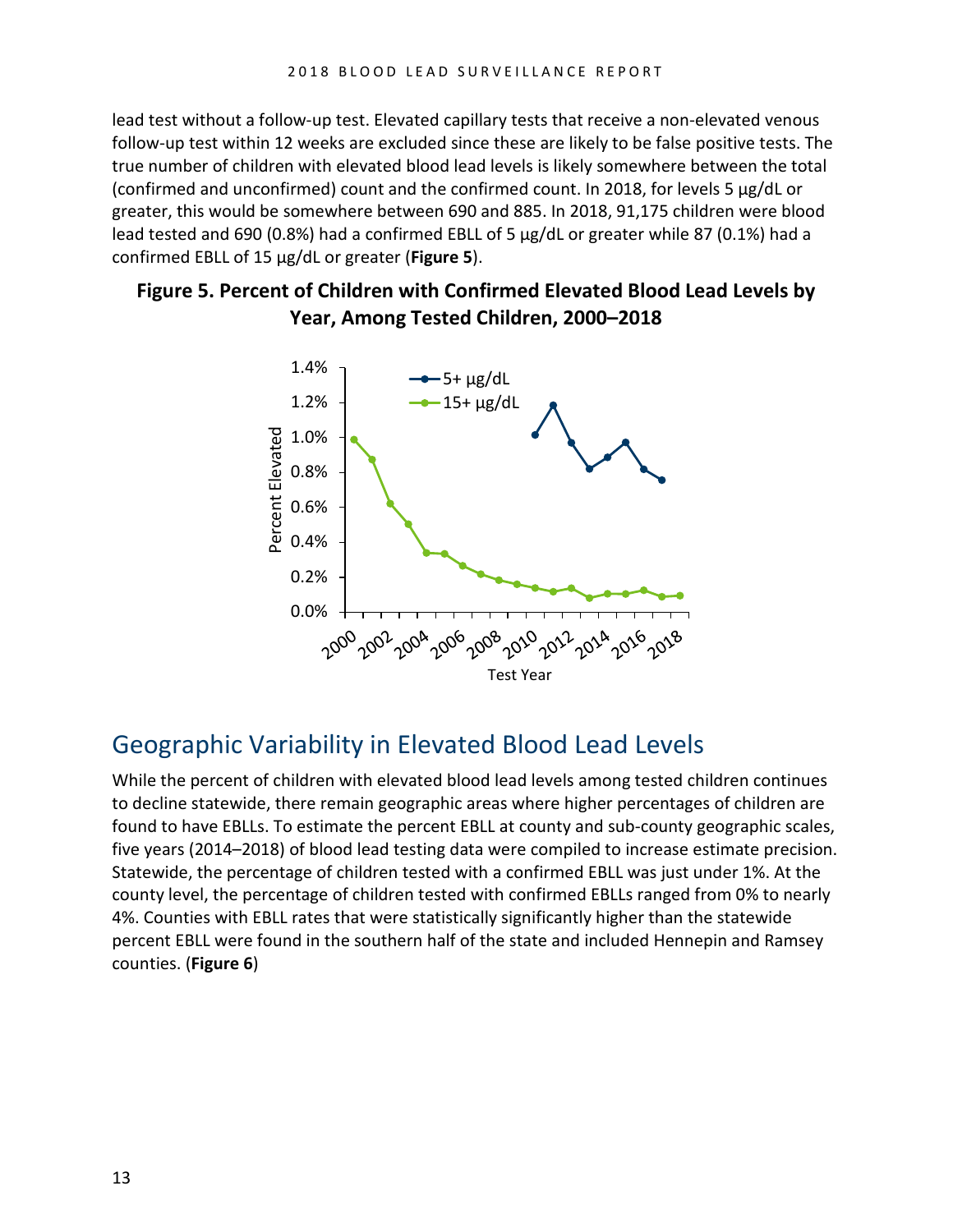lead test without a follow-up test. Elevated capillary tests that receive a non-elevated venous follow-up test within 12 weeks are excluded since these are likely to be false positive tests. The true number of children with elevated blood lead levels is likely somewhere between the total (confirmed and unconfirmed) count and the confirmed count. In 2018, for levels 5 μg/dL or greater, this would be somewhere between 690 and 885. In 2018, 91,175 children were blood lead tested and 690 (0.8%) had a confirmed EBLL of 5 µg/dL or greater while 87 (0.1%) had a confirmed EBLL of 15 µg/dL or greater (**Figure 5**).

#### **Figure 5. Percent of Children with Confirmed Elevated Blood Lead Levels by Year, Among Tested Children, 2000–2018**



# <span id="page-14-0"></span>Geographic Variability in Elevated Blood Lead Levels

While the percent of children with elevated blood lead levels among tested children continues to decline statewide, there remain geographic areas where higher percentages of children are found to have EBLLs. To estimate the percent EBLL at county and sub-county geographic scales, five years (2014–2018) of blood lead testing data were compiled to increase estimate precision. Statewide, the percentage of children tested with a confirmed EBLL was just under 1%. At the county level, the percentage of children tested with confirmed EBLLs ranged from 0% to nearly 4%. Counties with EBLL rates that were statistically significantly higher than the statewide percent EBLL were found in the southern half of the state and included Hennepin and Ramsey counties. (**Figure 6**)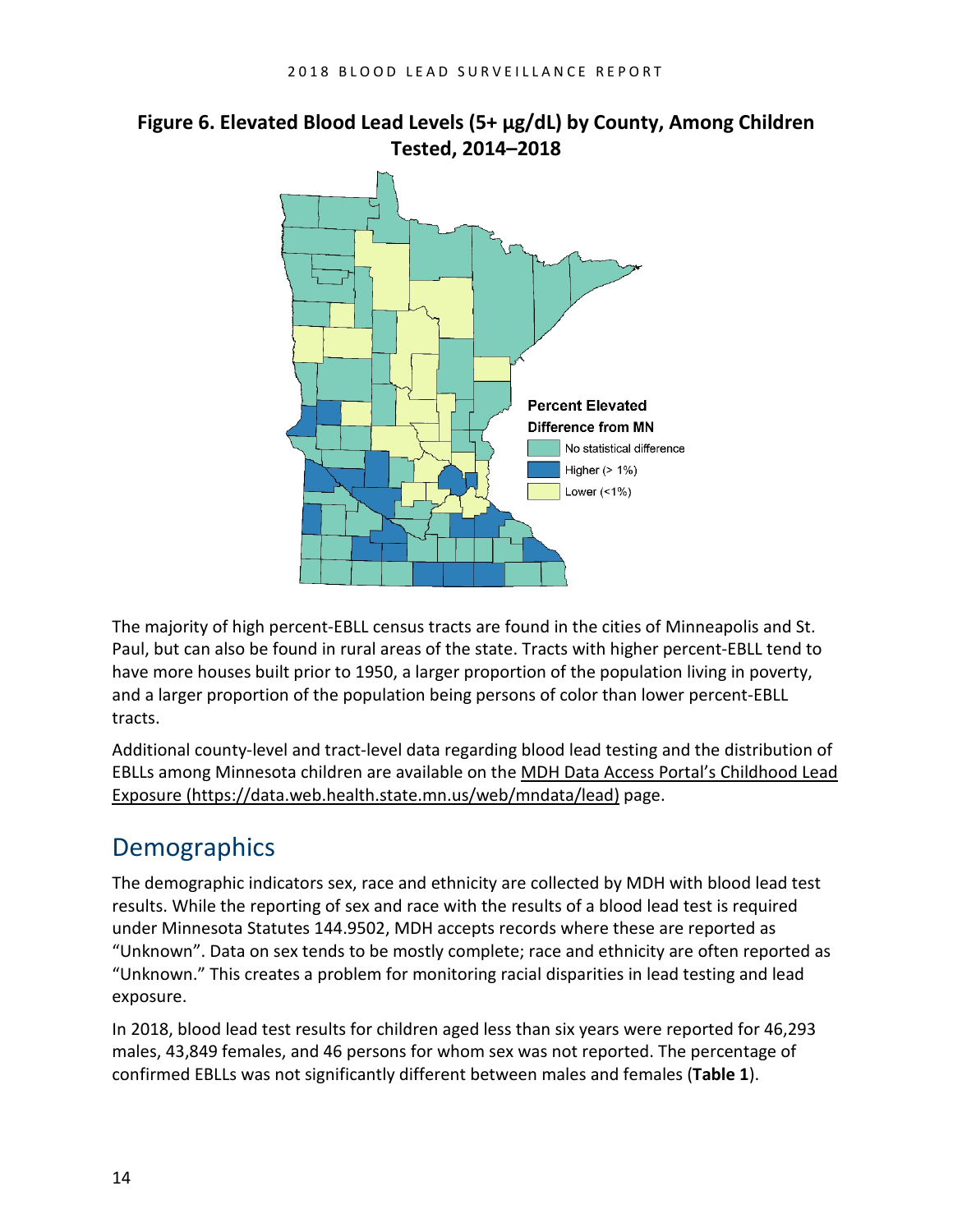#### **Figure 6. Elevated Blood Lead Levels (5+ µg/dL) by County, Among Children Tested, 2014–2018**



The majority of high percent-EBLL census tracts are found in the cities of Minneapolis and St. Paul, but can also be found in rural areas of the state. Tracts with higher percent-EBLL tend to have more houses built prior to 1950, a larger proportion of the population living in poverty, and a larger proportion of the population being persons of color than lower percent-EBLL tracts.

Additional county-level and tract-level data regarding blood lead testing and the distribution of EBLLs among Minnesota children are available on th[e MDH Data Access Portal's Childhood Lead](https://data.web.health.state.mn.us/web/mndata/lead)  [Exposure \(https://data.web.health.state.mn.us/web/mndata/lead\)](https://data.web.health.state.mn.us/web/mndata/lead) page.

# <span id="page-15-0"></span>**Demographics**

The demographic indicators sex, race and ethnicity are collected by MDH with blood lead test results. While the reporting of sex and race with the results of a blood lead test is required under Minnesota Statutes 144.9502, MDH accepts records where these are reported as "Unknown". Data on sex tends to be mostly complete; race and ethnicity are often reported as "Unknown." This creates a problem for monitoring racial disparities in lead testing and lead exposure.

In 2018, blood lead test results for children aged less than six years were reported for 46,293 males, 43,849 females, and 46 persons for whom sex was not reported. The percentage of confirmed EBLLs was not significantly different between males and females (**Table 1**).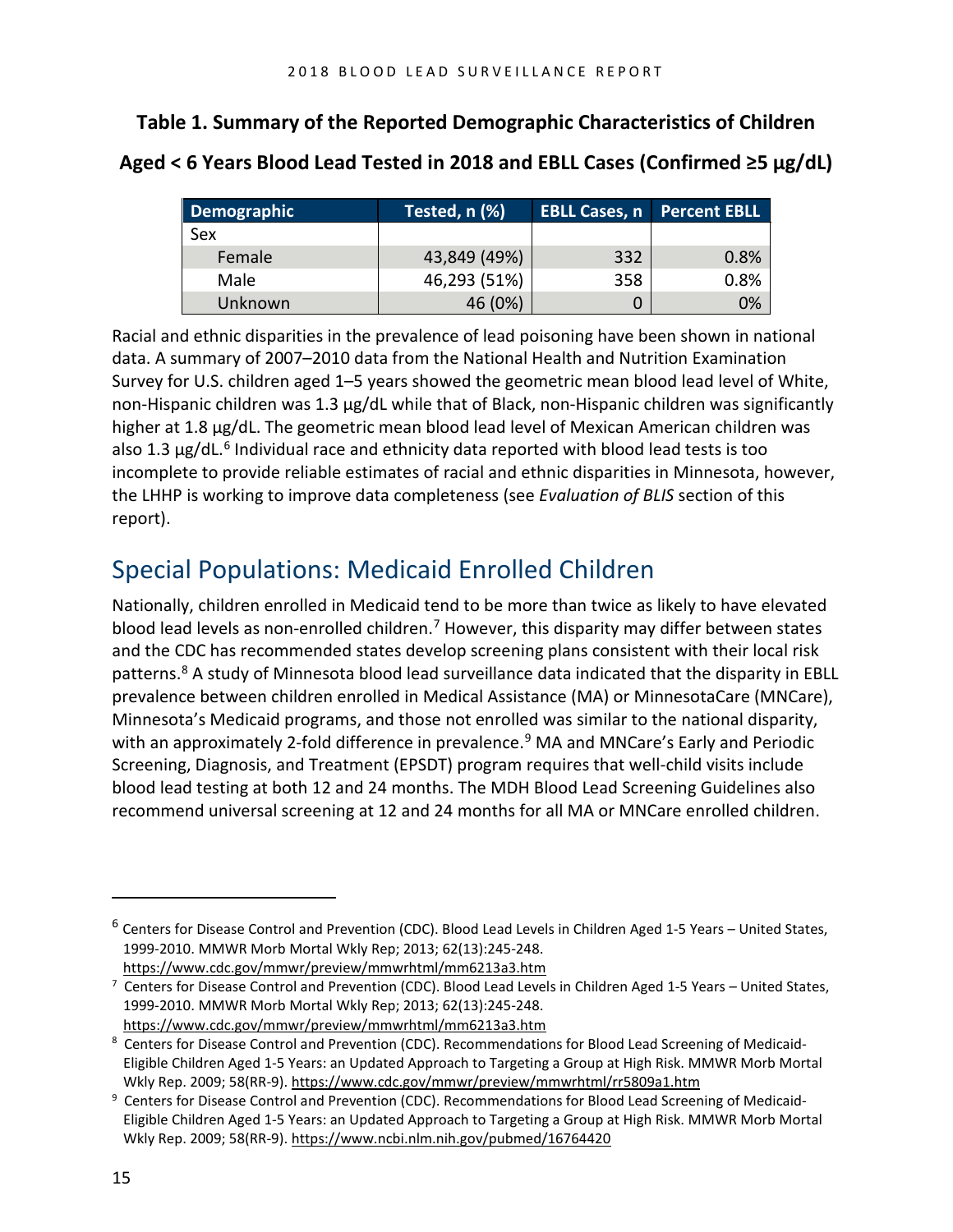#### **Table 1. Summary of the Reported Demographic Characteristics of Children**

**Aged < 6 Years Blood Lead Tested in 2018 and EBLL Cases (Confirmed ≥5 µg/dL)**

| Demographic | Tested, n (%) | <b>EBLL Cases, n</b> Percent EBLL |      |
|-------------|---------------|-----------------------------------|------|
| Sex         |               |                                   |      |
| Female      | 43,849 (49%)  | 332                               | 0.8% |
| Male        | 46,293 (51%)  | 358                               | 0.8% |
| Unknown     | 46 (0%)       | 0                                 | 0%   |

Racial and ethnic disparities in the prevalence of lead poisoning have been shown in national data. A summary of 2007–2010 data from the National Health and Nutrition Examination Survey for U.S. children aged 1–5 years showed the geometric mean blood lead level of White, non-Hispanic children was 1.3 µg/dL while that of Black, non-Hispanic children was significantly higher at 1.8 µg/dL. The geometric mean blood lead level of Mexican American children was also 1.3  $\mu$ g/dL.<sup>6</sup> Individual race and ethnicity data reported with blood lead tests is too incomplete to provide reliable estimates of racial and ethnic disparities in Minnesota, however, the LHHP is working to improve data completeness (see *Evaluation of BLIS* section of this report).

### <span id="page-16-0"></span>Special Populations: Medicaid Enrolled Children

Nationally, children enrolled in Medicaid tend to be more than twice as likely to have elevated blood lead levels as non-enrolled children.<sup>[7](#page-16-2)</sup> However, this disparity may differ between states and the CDC has recommended states develop screening plans consistent with their local risk patterns.[8](#page-16-3) A study of Minnesota blood lead surveillance data indicated that the disparity in EBLL prevalence between children enrolled in Medical Assistance (MA) or MinnesotaCare (MNCare), Minnesota's Medicaid programs, and those not enrolled was similar to the national disparity, with an approximately 2-fold difference in prevalence.<sup>[9](#page-16-4)</sup> MA and MNCare's Early and Periodic Screening, Diagnosis, and Treatment (EPSDT) program requires that well-child visits include blood lead testing at both 12 and 24 months. The MDH Blood Lead Screening Guidelines also recommend universal screening at 12 and 24 months for all MA or MNCare enrolled children.

 $\overline{a}$ 

<span id="page-16-1"></span> $6$  Centers for Disease Control and Prevention (CDC). Blood Lead Levels in Children Aged 1-5 Years – United States, 1999-2010. MMWR Morb Mortal Wkly Rep; 2013; 62(13):245-248. <https://www.cdc.gov/mmwr/preview/mmwrhtml/mm6213a3.htm>

<span id="page-16-2"></span><sup>&</sup>lt;sup>7</sup> Centers for Disease Control and Prevention (CDC). Blood Lead Levels in Children Aged 1-5 Years – United States, 1999-2010. MMWR Morb Mortal Wkly Rep; 2013; 62(13):245-248.

<https://www.cdc.gov/mmwr/preview/mmwrhtml/mm6213a3.htm>

<span id="page-16-3"></span><sup>&</sup>lt;sup>8</sup> Centers for Disease Control and Prevention (CDC). Recommendations for Blood Lead Screening of Medicaid-Eligible Children Aged 1-5 Years: an Updated Approach to Targeting a Group at High Risk. MMWR Morb Mortal Wkly Rep. 2009; 58(RR-9)[. https://www.cdc.gov/mmwr/preview/mmwrhtml/rr5809a1.htm](https://www.cdc.gov/mmwr/preview/mmwrhtml/rr5809a1.htm)

<span id="page-16-4"></span><sup>&</sup>lt;sup>9</sup> Centers for Disease Control and Prevention (CDC). Recommendations for Blood Lead Screening of Medicaid-Eligible Children Aged 1-5 Years: an Updated Approach to Targeting a Group at High Risk. MMWR Morb Mortal Wkly Rep. 2009; 58(RR-9)[. https://www.ncbi.nlm.nih.gov/pubmed/16764420](https://www.ncbi.nlm.nih.gov/pubmed/16764420)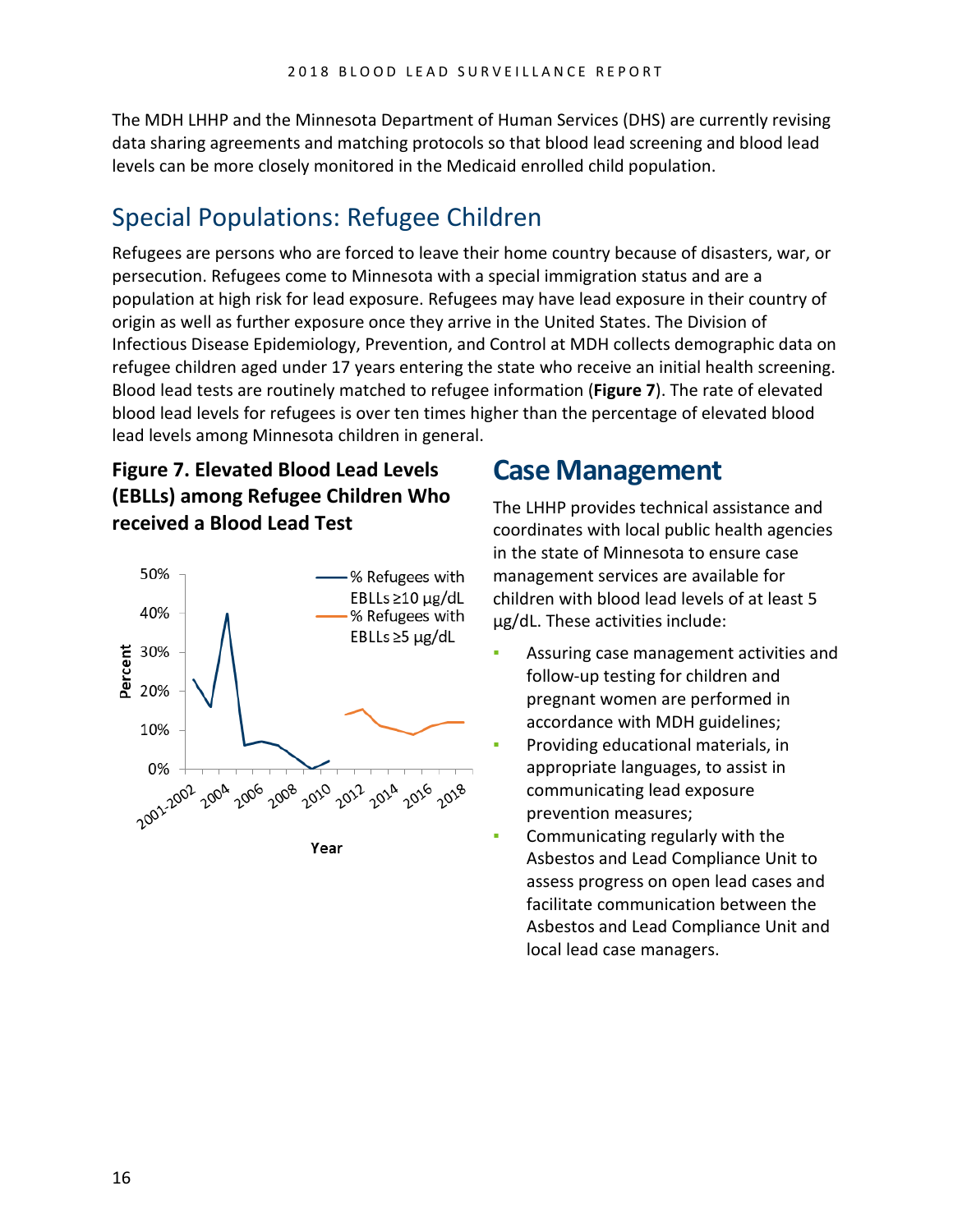The MDH LHHP and the Minnesota Department of Human Services (DHS) are currently revising data sharing agreements and matching protocols so that blood lead screening and blood lead levels can be more closely monitored in the Medicaid enrolled child population.

## <span id="page-17-0"></span>Special Populations: Refugee Children

Refugees are persons who are forced to leave their home country because of disasters, war, or persecution. Refugees come to Minnesota with a special immigration status and are a population at high risk for lead exposure. Refugees may have lead exposure in their country of origin as well as further exposure once they arrive in the United States. The Division of Infectious Disease Epidemiology, Prevention, and Control at MDH collects demographic data on refugee children aged under 17 years entering the state who receive an initial health screening. Blood lead tests are routinely matched to refugee information (**Figure 7**). The rate of elevated blood lead levels for refugees is over ten times higher than the percentage of elevated blood lead levels among Minnesota children in general.

#### **Figure 7. Elevated Blood Lead Levels (EBLLs) among Refugee Children Who received a Blood Lead Test**



# <span id="page-17-1"></span>**Case Management**

The LHHP provides technical assistance and coordinates with local public health agencies in the state of Minnesota to ensure case management services are available for children with blood lead levels of at least 5 μg/dL. These activities include:

- Assuring case management activities and follow-up testing for children and pregnant women are performed in accordance with MDH guidelines;
- Providing educational materials, in appropriate languages, to assist in communicating lead exposure prevention measures;
- Communicating regularly with the Asbestos and Lead Compliance Unit to assess progress on open lead cases and facilitate communication between the Asbestos and Lead Compliance Unit and local lead case managers.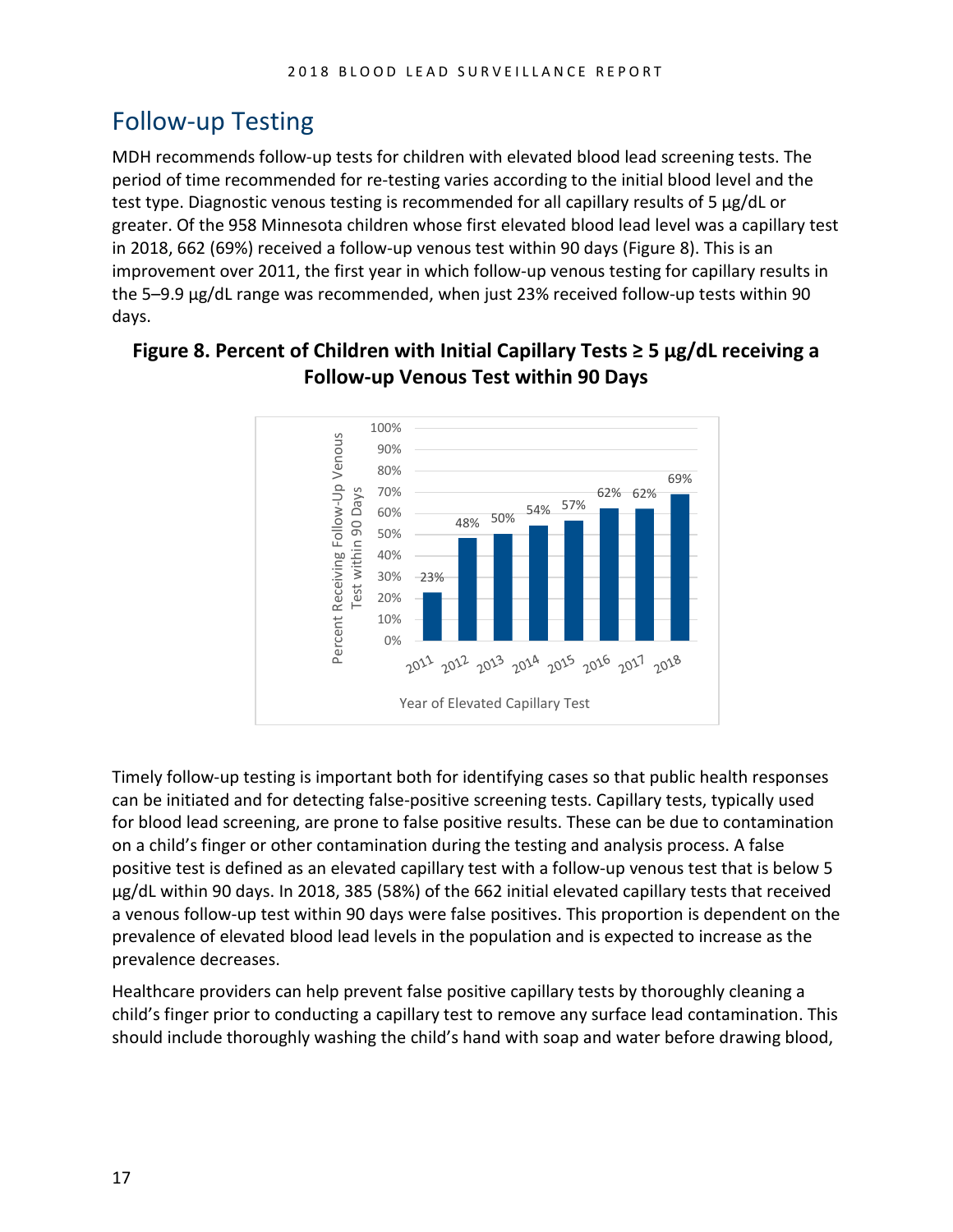# <span id="page-18-0"></span>Follow-up Testing

MDH recommends follow-up tests for children with elevated blood lead screening tests. The period of time recommended for re-testing varies according to the initial blood level and the test type. Diagnostic venous testing is recommended for all capillary results of 5 μg/dL or greater. Of the 958 Minnesota children whose first elevated blood lead level was a capillary test in 2018, 662 (69%) received a follow-up venous test within 90 days (Figure 8). This is an improvement over 2011, the first year in which follow-up venous testing for capillary results in the 5–9.9 µg/dL range was recommended, when just 23% received follow-up tests within 90 days.



#### **Figure 8. Percent of Children with Initial Capillary Tests ≥ 5 µg/dL receiving a Follow-up Venous Test within 90 Days**

Timely follow-up testing is important both for identifying cases so that public health responses can be initiated and for detecting false-positive screening tests. Capillary tests, typically used for blood lead screening, are prone to false positive results. These can be due to contamination on a child's finger or other contamination during the testing and analysis process. A false positive test is defined as an elevated capillary test with a follow-up venous test that is below 5 µg/dL within 90 days. In 2018, 385 (58%) of the 662 initial elevated capillary tests that received a venous follow-up test within 90 days were false positives. This proportion is dependent on the prevalence of elevated blood lead levels in the population and is expected to increase as the prevalence decreases.

Healthcare providers can help prevent false positive capillary tests by thoroughly cleaning a child's finger prior to conducting a capillary test to remove any surface lead contamination. This should include thoroughly washing the child's hand with soap and water before drawing blood,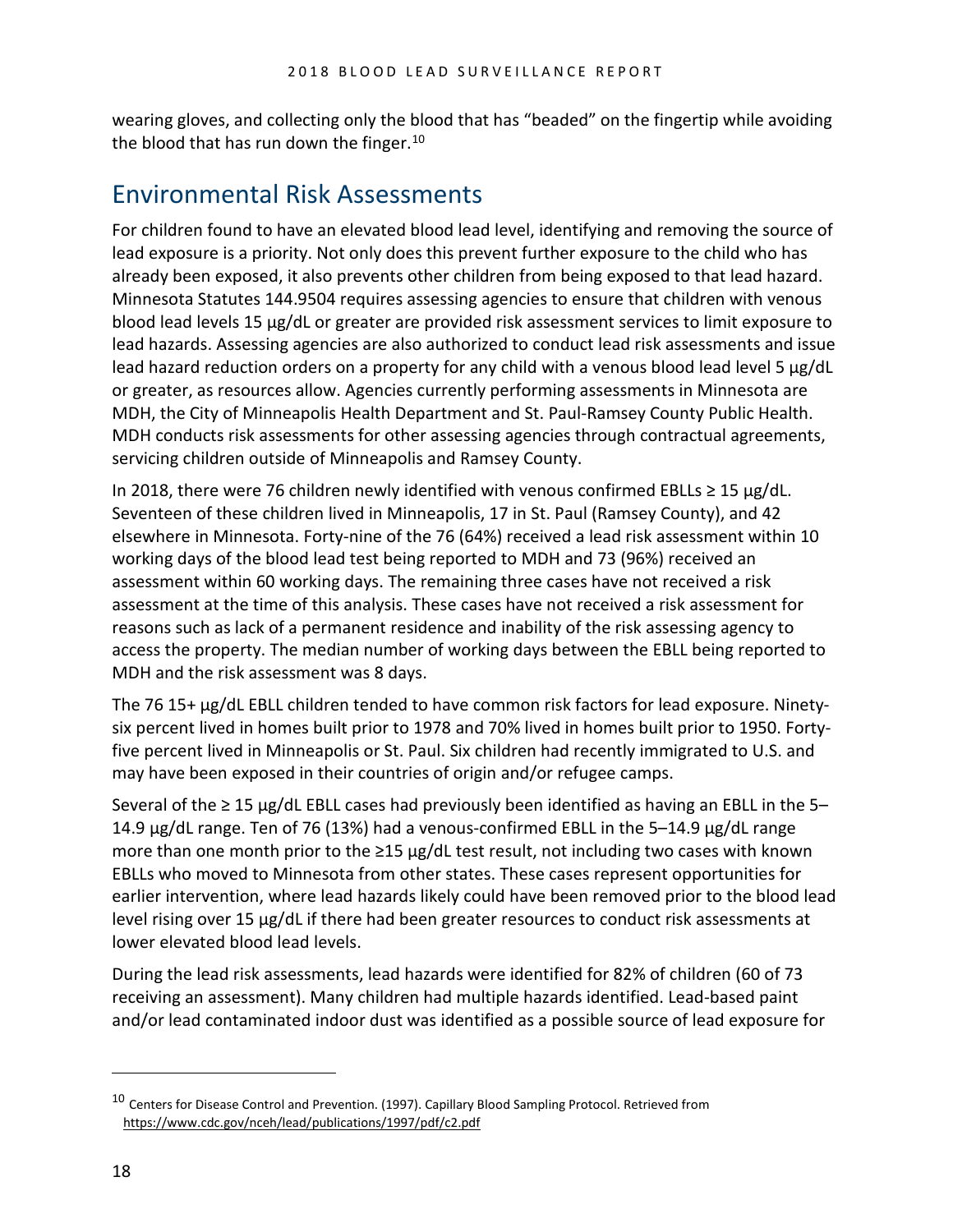wearing gloves, and collecting only the blood that has "beaded" on the fingertip while avoiding the blood that has run down the finger.<sup>[10](#page-19-1)</sup>

### <span id="page-19-0"></span>Environmental Risk Assessments

For children found to have an elevated blood lead level, identifying and removing the source of lead exposure is a priority. Not only does this prevent further exposure to the child who has already been exposed, it also prevents other children from being exposed to that lead hazard. Minnesota Statutes 144.9504 requires assessing agencies to ensure that children with venous blood lead levels 15 µg/dL or greater are provided risk assessment services to limit exposure to lead hazards. Assessing agencies are also authorized to conduct lead risk assessments and issue lead hazard reduction orders on a property for any child with a venous blood lead level 5 µg/dL or greater, as resources allow. Agencies currently performing assessments in Minnesota are MDH, the City of Minneapolis Health Department and St. Paul-Ramsey County Public Health. MDH conducts risk assessments for other assessing agencies through contractual agreements, servicing children outside of Minneapolis and Ramsey County.

In 2018, there were 76 children newly identified with venous confirmed EBLLs  $\geq 15 \mu g/dL$ . Seventeen of these children lived in Minneapolis, 17 in St. Paul (Ramsey County), and 42 elsewhere in Minnesota. Forty-nine of the 76 (64%) received a lead risk assessment within 10 working days of the blood lead test being reported to MDH and 73 (96%) received an assessment within 60 working days. The remaining three cases have not received a risk assessment at the time of this analysis. These cases have not received a risk assessment for reasons such as lack of a permanent residence and inability of the risk assessing agency to access the property. The median number of working days between the EBLL being reported to MDH and the risk assessment was 8 days.

The 76 15+ µg/dL EBLL children tended to have common risk factors for lead exposure. Ninetysix percent lived in homes built prior to 1978 and 70% lived in homes built prior to 1950. Fortyfive percent lived in Minneapolis or St. Paul. Six children had recently immigrated to U.S. and may have been exposed in their countries of origin and/or refugee camps.

Several of the  $\geq 15$  µg/dL EBLL cases had previously been identified as having an EBLL in the 5-14.9 µg/dL range. Ten of 76 (13%) had a venous-confirmed EBLL in the 5–14.9 µg/dL range more than one month prior to the ≥15 µg/dL test result, not including two cases with known EBLLs who moved to Minnesota from other states. These cases represent opportunities for earlier intervention, where lead hazards likely could have been removed prior to the blood lead level rising over 15 µg/dL if there had been greater resources to conduct risk assessments at lower elevated blood lead levels.

During the lead risk assessments, lead hazards were identified for 82% of children (60 of 73 receiving an assessment). Many children had multiple hazards identified. Lead-based paint and/or lead contaminated indoor dust was identified as a possible source of lead exposure for

 $\overline{a}$ 

<span id="page-19-1"></span><sup>&</sup>lt;sup>10</sup> Centers for Disease Control and Prevention. (1997). Capillary Blood Sampling Protocol. Retrieved from <https://www.cdc.gov/nceh/lead/publications/1997/pdf/c2.pdf>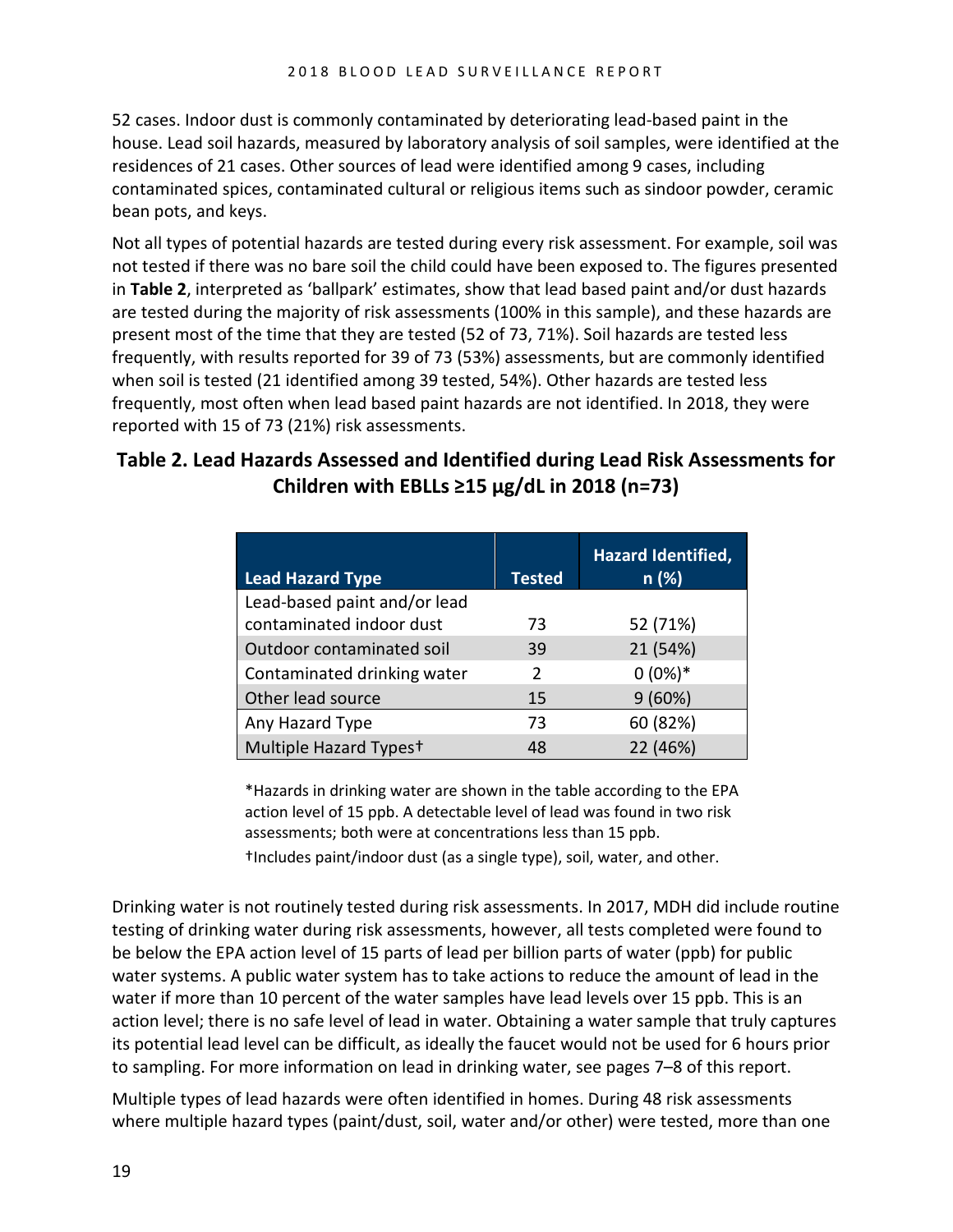52 cases. Indoor dust is commonly contaminated by deteriorating lead-based paint in the house. Lead soil hazards, measured by laboratory analysis of soil samples, were identified at the residences of 21 cases. Other sources of lead were identified among 9 cases, including contaminated spices, contaminated cultural or religious items such as sindoor powder, ceramic bean pots, and keys.

Not all types of potential hazards are tested during every risk assessment. For example, soil was not tested if there was no bare soil the child could have been exposed to. The figures presented in **Table 2**, interpreted as 'ballpark' estimates, show that lead based paint and/or dust hazards are tested during the majority of risk assessments (100% in this sample), and these hazards are present most of the time that they are tested (52 of 73, 71%). Soil hazards are tested less frequently, with results reported for 39 of 73 (53%) assessments, but are commonly identified when soil is tested (21 identified among 39 tested, 54%). Other hazards are tested less frequently, most often when lead based paint hazards are not identified. In 2018, they were reported with 15 of 73 (21%) risk assessments.

#### **Table 2. Lead Hazards Assessed and Identified during Lead Risk Assessments for Children with EBLLs ≥15 µg/dL in 2018 (n=73)**

| <b>Lead Hazard Type</b>            | <b>Tested</b> | <b>Hazard Identified,</b><br>n(%) |
|------------------------------------|---------------|-----------------------------------|
| Lead-based paint and/or lead       |               |                                   |
| contaminated indoor dust           | 73            | 52 (71%)                          |
| Outdoor contaminated soil          | 39            | 21 (54%)                          |
| Contaminated drinking water        | $\mathcal{P}$ | $0(0\%)*$                         |
| Other lead source                  | 15            | 9(60%)                            |
| Any Hazard Type                    | 73            | 60 (82%)                          |
| Multiple Hazard Types <sup>+</sup> | 48            | 22 (46%)                          |

\*Hazards in drinking water are shown in the table according to the EPA action level of 15 ppb. A detectable level of lead was found in two risk assessments; both were at concentrations less than 15 ppb.

†Includes paint/indoor dust (as a single type), soil, water, and other.

Drinking water is not routinely tested during risk assessments. In 2017, MDH did include routine testing of drinking water during risk assessments, however, all tests completed were found to be below the EPA action level of 15 parts of lead per billion parts of water (ppb) for public water systems. A public water system has to take actions to reduce the amount of lead in the water if more than 10 percent of the water samples have lead levels over 15 ppb. This is an action level; there is no safe level of lead in water. Obtaining a water sample that truly captures its potential lead level can be difficult, as ideally the faucet would not be used for 6 hours prior to sampling. For more information on lead in drinking water, see pages 7–8 of this report.

Multiple types of lead hazards were often identified in homes. During 48 risk assessments where multiple hazard types (paint/dust, soil, water and/or other) were tested, more than one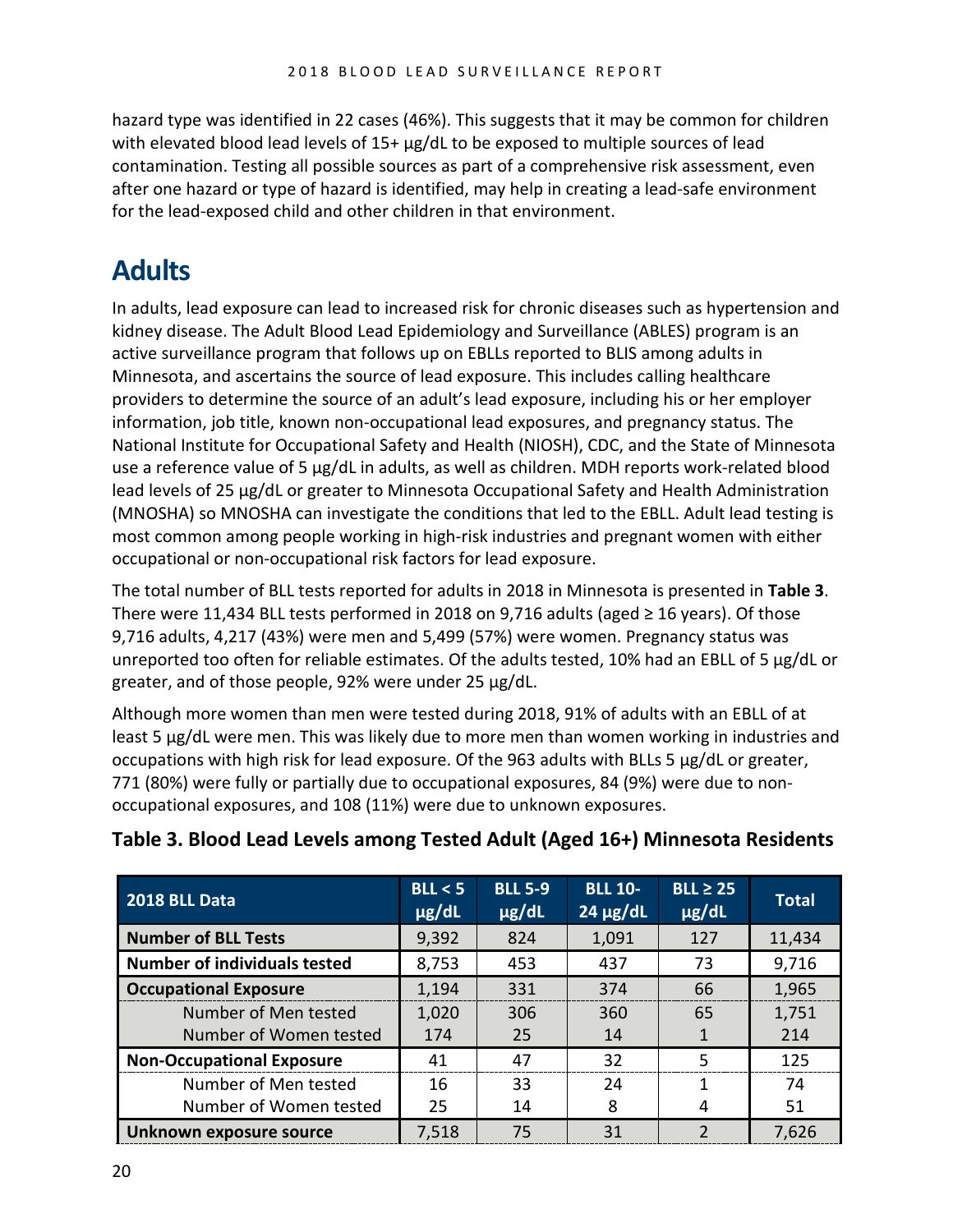hazard type was identified in 22 cases (46%). This suggests that it may be common for children with elevated blood lead levels of 15+  $\mu$ g/dL to be exposed to multiple sources of lead contamination. Testing all possible sources as part of a comprehensive risk assessment, even after one hazard or type of hazard is identified, may help in creating a lead-safe environment for the lead-exposed child and other children in that environment.

# <span id="page-21-0"></span>**Adults**

In adults, lead exposure can lead to increased risk for chronic diseases such as hypertension and kidney disease. The Adult Blood Lead Epidemiology and Surveillance (ABLES) program is an active surveillance program that follows up on EBLLs reported to BLIS among adults in Minnesota, and ascertains the source of lead exposure. This includes calling healthcare providers to determine the source of an adult's lead exposure, including his or her employer information, job title, known non-occupational lead exposures, and pregnancy status. The National Institute for Occupational Safety and Health (NIOSH), CDC, and the State of Minnesota use a reference value of 5 µg/dL in adults, as well as children. MDH reports work-related blood lead levels of 25 µg/dL or greater to Minnesota Occupational Safety and Health Administration (MNOSHA) so MNOSHA can investigate the conditions that led to the EBLL. Adult lead testing is most common among people working in high-risk industries and pregnant women with either occupational or non-occupational risk factors for lead exposure.

The total number of BLL tests reported for adults in 2018 in Minnesota is presented in **Table 3**. There were 11,434 BLL tests performed in 2018 on 9,716 adults (aged  $\geq$  16 years). Of those 9,716 adults, 4,217 (43%) were men and 5,499 (57%) were women. Pregnancy status was unreported too often for reliable estimates. Of the adults tested, 10% had an EBLL of 5 µg/dL or greater, and of those people, 92% were under 25 µg/dL.

Although more women than men were tested during 2018, 91% of adults with an EBLL of at least 5 µg/dL were men. This was likely due to more men than women working in industries and occupations with high risk for lead exposure. Of the 963 adults with BLLs 5 µg/dL or greater, 771 (80%) were fully or partially due to occupational exposures, 84 (9%) were due to nonoccupational exposures, and 108 (11%) were due to unknown exposures.

| 2018 BLL Data                       | BL < 5<br>$\mu$ g/dL | <b>BLL 5-9</b><br>$\mu$ g/dL | <b>BLL 10-</b><br>$24 \mu g/dL$ | $BLL \geq 25$<br>$\mu$ g/dL | <b>Total</b> |
|-------------------------------------|----------------------|------------------------------|---------------------------------|-----------------------------|--------------|
| <b>Number of BLL Tests</b>          | 9,392                | 824                          | 1,091                           | 127                         | 11,434       |
| <b>Number of individuals tested</b> | 8,753                | 453                          | 437                             | 73                          | 9,716        |
| <b>Occupational Exposure</b>        | 1,194                | 331                          | 374                             | 66                          | 1,965        |
| Number of Men tested                | 1,020                | 306                          | 360                             | 65                          | 1,751        |
| Number of Women tested              | 174                  | 25                           | 14                              | 1                           | 214          |
| <b>Non-Occupational Exposure</b>    | 41                   | 47                           | 32                              | 5                           | 125          |
| Number of Men tested                | 16                   | 33                           | 24                              | 1                           | 74           |
| Number of Women tested              | 25                   | 14                           | 8                               | 4                           | 51           |
| Unknown exposure source             | 7,518                | 75                           | 31                              | $\mathcal{P}$               | 7,626        |

### **Table 3. Blood Lead Levels among Tested Adult (Aged 16+) Minnesota Residents**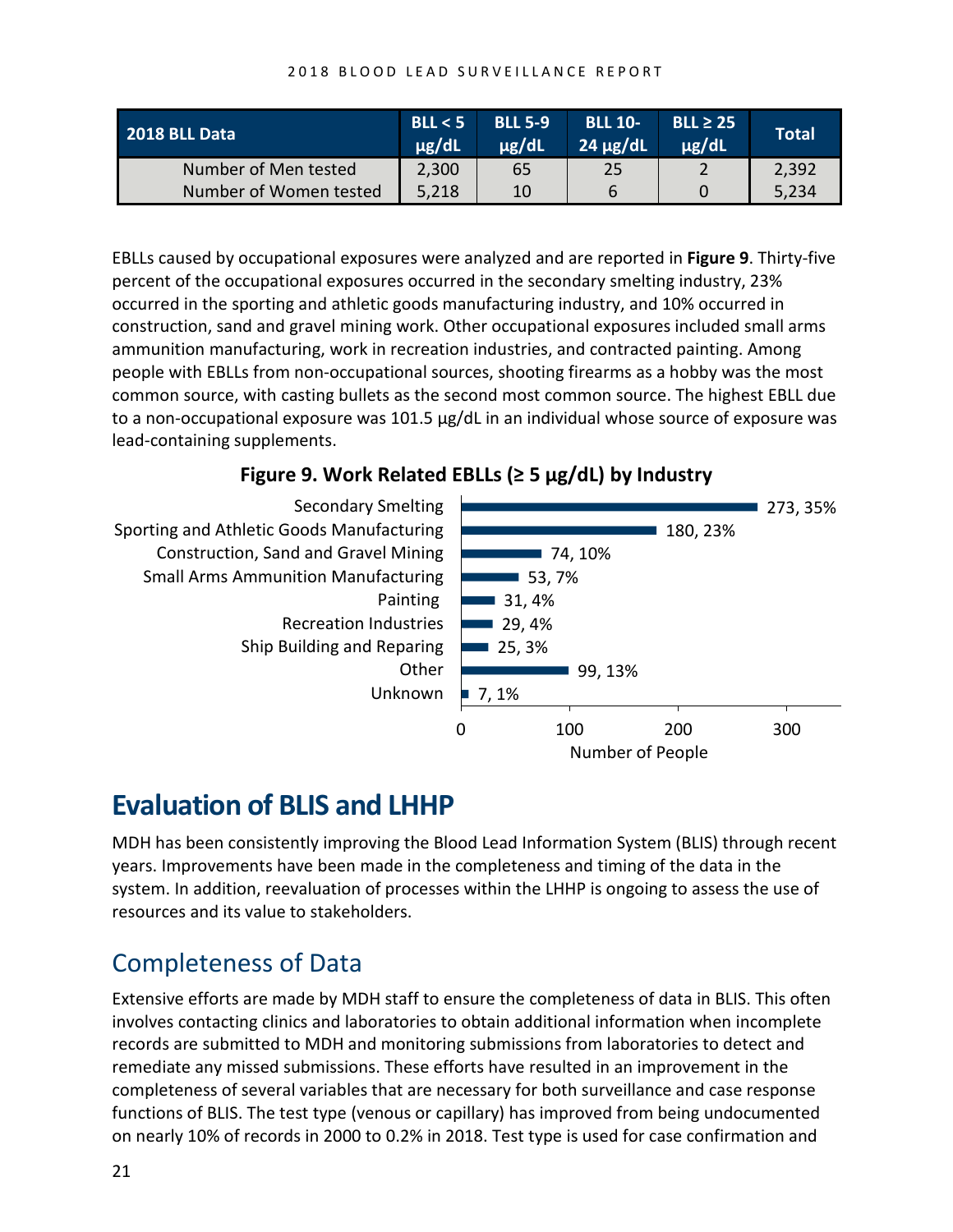| 2018 BLL Data          | BLL < 5<br>$\mu$ g/dL | <b>BLL 5-9</b><br>ug/dL | <b>BLL 10-</b><br>$24 \mu g/dL$ | $BLL \geq 25$<br>$\mu$ g/dL | Total |
|------------------------|-----------------------|-------------------------|---------------------------------|-----------------------------|-------|
| Number of Men tested   | 2,300                 | 65                      | 25                              |                             | 2,392 |
| Number of Women tested | 5,218                 | 10                      |                                 |                             | 5,234 |

EBLLs caused by occupational exposures were analyzed and are reported in **Figure 9**. Thirty-five percent of the occupational exposures occurred in the secondary smelting industry, 23% occurred in the sporting and athletic goods manufacturing industry, and 10% occurred in construction, sand and gravel mining work. Other occupational exposures included small arms ammunition manufacturing, work in recreation industries, and contracted painting. Among people with EBLLs from non-occupational sources, shooting firearms as a hobby was the most common source, with casting bullets as the second most common source. The highest EBLL due to a non-occupational exposure was 101.5 µg/dL in an individual whose source of exposure was lead-containing supplements.

#### **Figure 9. Work Related EBLLs (≥ 5 µg/dL) by Industry**



# <span id="page-22-0"></span>**Evaluation of BLIS and LHHP**

MDH has been consistently improving the Blood Lead Information System (BLIS) through recent years. Improvements have been made in the completeness and timing of the data in the system. In addition, reevaluation of processes within the LHHP is ongoing to assess the use of resources and its value to stakeholders.

### <span id="page-22-1"></span>Completeness of Data

Extensive efforts are made by MDH staff to ensure the completeness of data in BLIS. This often involves contacting clinics and laboratories to obtain additional information when incomplete records are submitted to MDH and monitoring submissions from laboratories to detect and remediate any missed submissions. These efforts have resulted in an improvement in the completeness of several variables that are necessary for both surveillance and case response functions of BLIS. The test type (venous or capillary) has improved from being undocumented on nearly 10% of records in 2000 to 0.2% in 2018. Test type is used for case confirmation and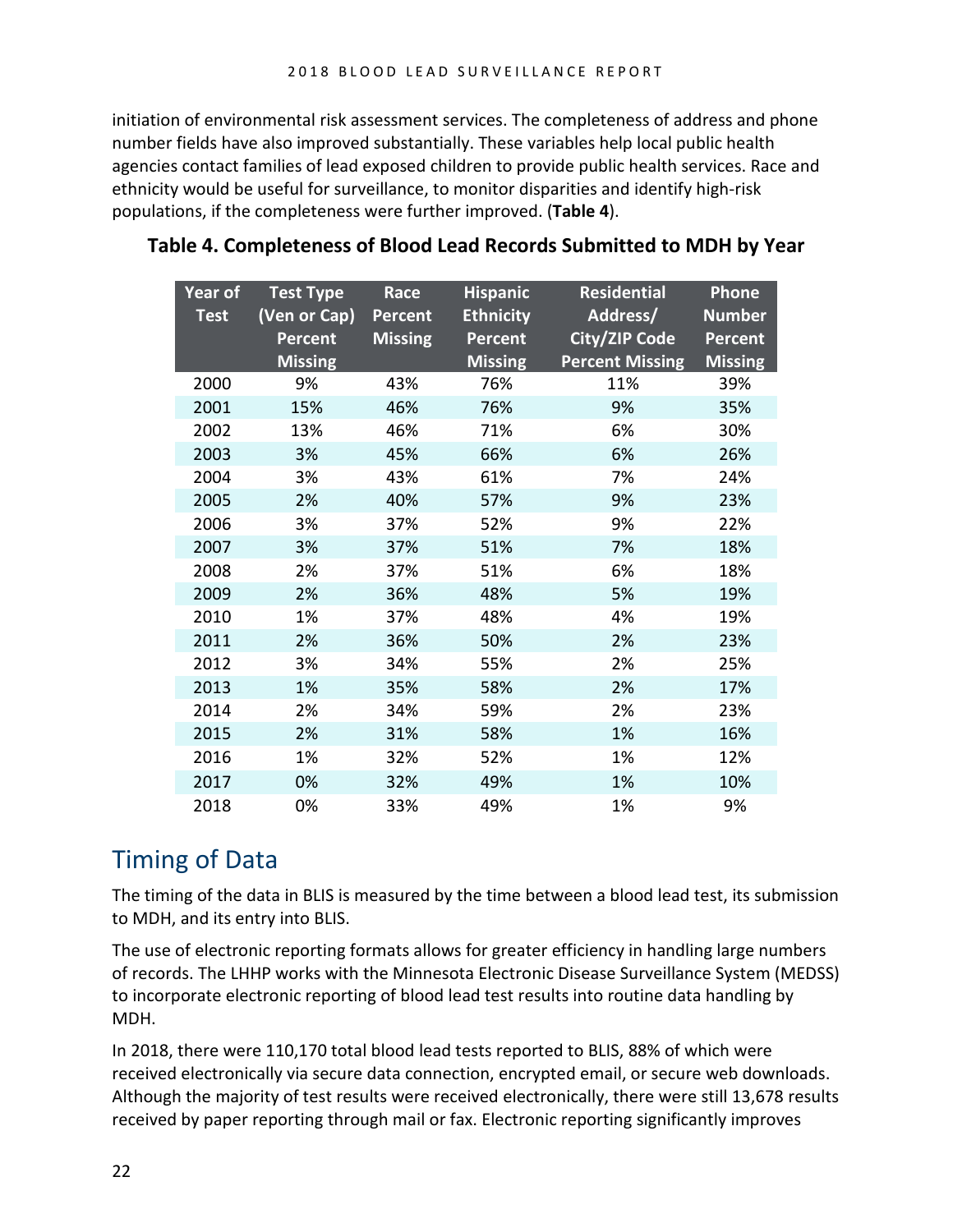initiation of environmental risk assessment services. The completeness of address and phone number fields have also improved substantially. These variables help local public health agencies contact families of lead exposed children to provide public health services. Race and ethnicity would be useful for surveillance, to monitor disparities and identify high-risk populations, if the completeness were further improved. (**Table 4**).

| Year of<br><b>Test</b> | <b>Test Type</b><br>(Ven or Cap)<br><b>Percent</b><br><b>Missing</b> | <b>Race</b><br><b>Percent</b><br><b>Missing</b> | <b>Hispanic</b><br><b>Ethnicity</b><br><b>Percent</b><br><b>Missing</b> | <b>Residential</b><br>Address/<br>City/ZIP Code<br><b>Percent Missing</b> | Phone<br><b>Number</b><br><b>Percent</b><br><b>Missing</b> |
|------------------------|----------------------------------------------------------------------|-------------------------------------------------|-------------------------------------------------------------------------|---------------------------------------------------------------------------|------------------------------------------------------------|
| 2000                   | 9%                                                                   | 43%                                             | 76%                                                                     | 11%                                                                       | 39%                                                        |
| 2001                   | 15%                                                                  | 46%                                             | 76%                                                                     | 9%                                                                        | 35%                                                        |
| 2002                   | 13%                                                                  | 46%                                             | 71%                                                                     | 6%                                                                        | 30%                                                        |
| 2003                   | 3%                                                                   | 45%                                             | 66%                                                                     | 6%                                                                        | 26%                                                        |
| 2004                   | 3%                                                                   | 43%                                             | 61%                                                                     | 7%                                                                        | 24%                                                        |
| 2005                   | 2%                                                                   | 40%                                             | 57%                                                                     | 9%                                                                        | 23%                                                        |
| 2006                   | 3%                                                                   | 37%                                             | 52%                                                                     | 9%                                                                        | 22%                                                        |
| 2007                   | 3%                                                                   | 37%                                             | 51%                                                                     | 7%                                                                        | 18%                                                        |
| 2008                   | 2%                                                                   | 37%                                             | 51%                                                                     | 6%                                                                        | 18%                                                        |
| 2009                   | 2%                                                                   | 36%                                             | 48%                                                                     | 5%                                                                        | 19%                                                        |
| 2010                   | 1%                                                                   | 37%                                             | 48%                                                                     | 4%                                                                        | 19%                                                        |
| 2011                   | 2%                                                                   | 36%                                             | 50%                                                                     | 2%                                                                        | 23%                                                        |
| 2012                   | 3%                                                                   | 34%                                             | 55%                                                                     | 2%                                                                        | 25%                                                        |
| 2013                   | 1%                                                                   | 35%                                             | 58%                                                                     | 2%                                                                        | 17%                                                        |
| 2014                   | 2%                                                                   | 34%                                             | 59%                                                                     | 2%                                                                        | 23%                                                        |
| 2015                   | 2%                                                                   | 31%                                             | 58%                                                                     | 1%                                                                        | 16%                                                        |
| 2016                   | 1%                                                                   | 32%                                             | 52%                                                                     | 1%                                                                        | 12%                                                        |
| 2017                   | 0%                                                                   | 32%                                             | 49%                                                                     | 1%                                                                        | 10%                                                        |
| 2018                   | 0%                                                                   | 33%                                             | 49%                                                                     | 1%                                                                        | 9%                                                         |

#### **Table 4. Completeness of Blood Lead Records Submitted to MDH by Year**

### <span id="page-23-0"></span>Timing of Data

The timing of the data in BLIS is measured by the time between a blood lead test, its submission to MDH, and its entry into BLIS.

The use of electronic reporting formats allows for greater efficiency in handling large numbers of records. The LHHP works with the Minnesota Electronic Disease Surveillance System (MEDSS) to incorporate electronic reporting of blood lead test results into routine data handling by MDH.

In 2018, there were 110,170 total blood lead tests reported to BLIS, 88% of which were received electronically via secure data connection, encrypted email, or secure web downloads. Although the majority of test results were received electronically, there were still 13,678 results received by paper reporting through mail or fax. Electronic reporting significantly improves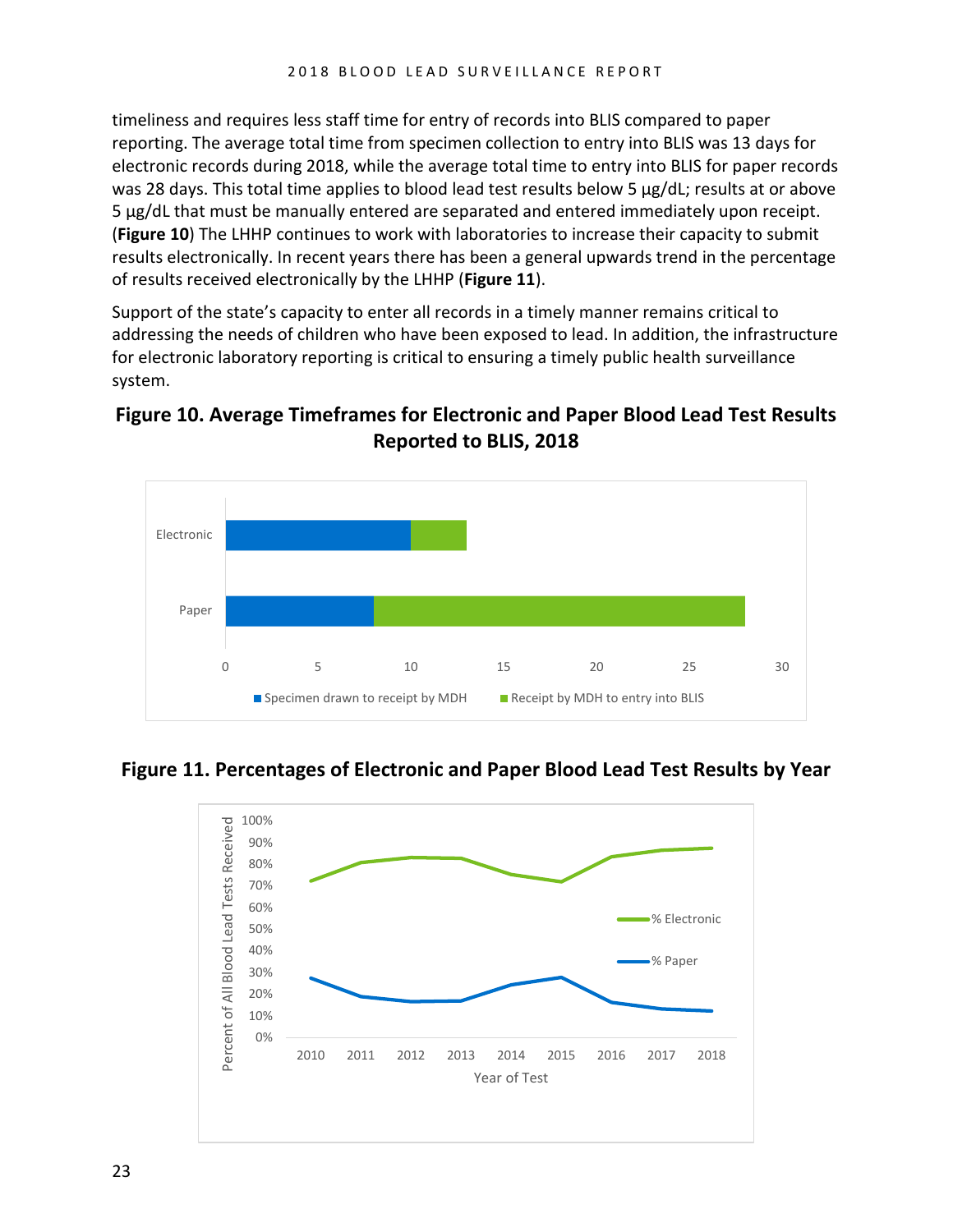timeliness and requires less staff time for entry of records into BLIS compared to paper reporting. The average total time from specimen collection to entry into BLIS was 13 days for electronic records during 2018, while the average total time to entry into BLIS for paper records was 28 days. This total time applies to blood lead test results below 5 µg/dL; results at or above 5 µg/dL that must be manually entered are separated and entered immediately upon receipt. (**Figure 10**) The LHHP continues to work with laboratories to increase their capacity to submit results electronically. In recent years there has been a general upwards trend in the percentage of results received electronically by the LHHP (**Figure 11**).

Support of the state's capacity to enter all records in a timely manner remains critical to addressing the needs of children who have been exposed to lead. In addition, the infrastructure for electronic laboratory reporting is critical to ensuring a timely public health surveillance system.





**Figure 11. Percentages of Electronic and Paper Blood Lead Test Results by Year**

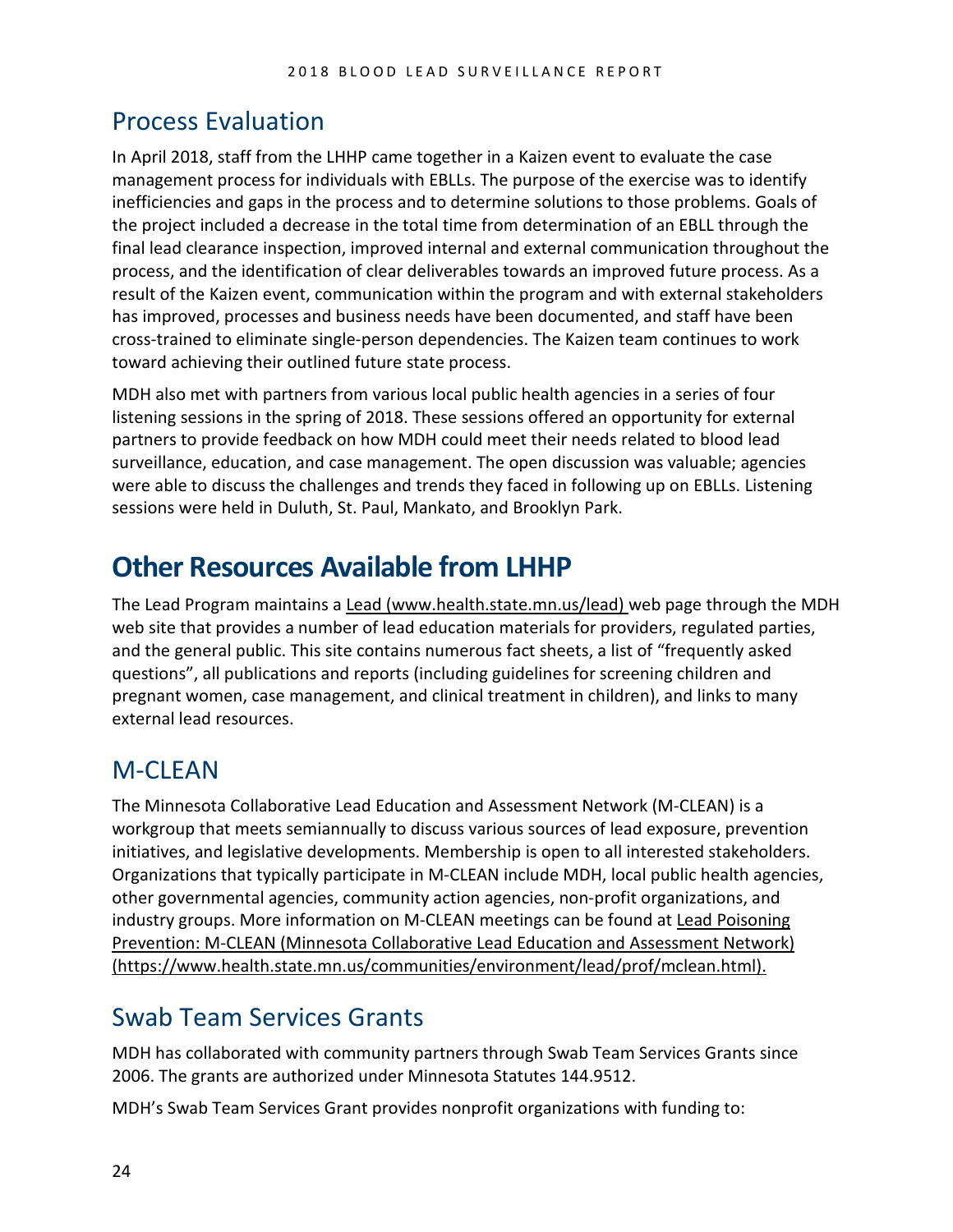### <span id="page-25-0"></span>Process Evaluation

In April 2018, staff from the LHHP came together in a Kaizen event to evaluate the case management process for individuals with EBLLs. The purpose of the exercise was to identify inefficiencies and gaps in the process and to determine solutions to those problems. Goals of the project included a decrease in the total time from determination of an EBLL through the final lead clearance inspection, improved internal and external communication throughout the process, and the identification of clear deliverables towards an improved future process. As a result of the Kaizen event, communication within the program and with external stakeholders has improved, processes and business needs have been documented, and staff have been cross-trained to eliminate single-person dependencies. The Kaizen team continues to work toward achieving their outlined future state process.

MDH also met with partners from various local public health agencies in a series of four listening sessions in the spring of 2018. These sessions offered an opportunity for external partners to provide feedback on how MDH could meet their needs related to blood lead surveillance, education, and case management. The open discussion was valuable; agencies were able to discuss the challenges and trends they faced in following up on EBLLs. Listening sessions were held in Duluth, St. Paul, Mankato, and Brooklyn Park.

# <span id="page-25-1"></span>**Other Resources Available from LHHP**

The Lead Program maintains a [Lead \(www.health.state.mn.us/lead\)](http://www.health.state.mn.us/lead) web page through the MDH web site that provides a number of lead education materials for providers, regulated parties, and the general public. This site contains numerous fact sheets, a list of "frequently asked questions", all publications and reports (including guidelines for screening children and pregnant women, case management, and clinical treatment in children), and links to many external lead resources.

### <span id="page-25-2"></span>M-CLEAN

The Minnesota Collaborative Lead Education and Assessment Network (M-CLEAN) is a workgroup that meets semiannually to discuss various sources of lead exposure, prevention initiatives, and legislative developments. Membership is open to all interested stakeholders. Organizations that typically participate in M-CLEAN include MDH, local public health agencies, other governmental agencies, community action agencies, non-profit organizations, and industry groups. More information on M-CLEAN meetings can be found at Lead Poisoning [Prevention: M-CLEAN \(Minnesota Collaborative Lead Education and Assessment Network\)](https://www.health.state.mn.us/communities/environment/lead/prof/mclean.html)  [\(https://www.health.state.mn.us/communities/environment/lead/prof/mclean.html\).](https://www.health.state.mn.us/communities/environment/lead/prof/mclean.html) 

# <span id="page-25-3"></span>Swab Team Services Grants

MDH has collaborated with community partners through Swab Team Services Grants since 2006. The grants are authorized under Minnesota Statutes 144.9512.

MDH's Swab Team Services Grant provides nonprofit organizations with funding to: